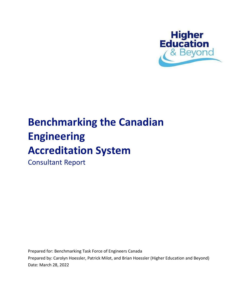

# **Benchmarking the Canadian Engineering Accreditation System**

Consultant Report

Prepared for: Benchmarking Task Force of Engineers Canada

Prepared by: Carolyn Hoessler, Patrick Milot, and Brian Hoessler (Higher Education and Beyond) Date: March 28, 2022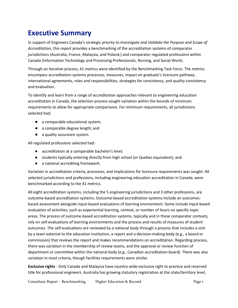# <span id="page-1-0"></span>**Executive Summary**

In support of Engineers Canada's strategic priority to *Investigate and Validate the Purpose and Scope of Accreditation*, this report provides a benchmarking of the accreditation systems of comparator jurisdictions (Australia, France, Malaysia, and Poland,) and comparator regulated professions within Canada (Information Technology and Processing Professionals, Nursing, and Social Work).

Through an iterative process, 41 metrics were identified by the Benchmarking Task Force. The metrics encompass accreditation systems processes, measures, impact on graduate's licensure pathway, international agreements, roles and responsibilities, strategies for consistency, and quality consistency and evaluation.

To identify and learn from a range of accreditation approaches relevant to engineering education accreditation in Canada, the selection process sought variation within the bounds of minimum requirements to allow for appropriate comparisons. For minimum requirements, all jurisdictions selected had:

- a comparable educational system;
- a comparable degree length; and
- a quality assurance system.

All regulated professions selected had:

- accreditation at a comparable bachelor's level;
- students typically entering directly from high school (or Quebec equivalent); and
- a national accrediting framework.

Variation in accreditation criteria, processes, and implications for licensure requirements was sought. All selected jurisdictions and professions, including engineering education accreditation in Canada, were benchmarked according to the 41 metrics.

All eight accreditation systems, including the 5 engineering jurisdictions and 3 other professions, are outcome-based accreditation systems. Outcome-based accreditation systems include an outcomesbased assessment alongside input-based evaluations of learning environment. Some include input-based evaluation of activities, such as experiential learning, context, or number of hours on specific topic areas. The process of outcome-based accreditation systems, typically and in these comparator contexts, rely on self-evaluations of learning environments and the process and results of measures of student outcomes. The self-evaluations are reviewed by a national body through a process that includes a visit by a team external to the education institution, a report and a decision-making body (e.g., a board or commission) that reviews the report and makes recommendations on accreditation. Regarding process, there was variation in the membership of review teams, and the approval or review function of department or committee within the national body (e.g., Canadian accreditation board). There was also variation in most criteria, though facilities requirements were similar.

**Exclusive rights** - Only Canada and Malaysia have country-wide exclusive right to practice and reserved title for professional engineers. Australia has growing statutory registration at the state/territory level,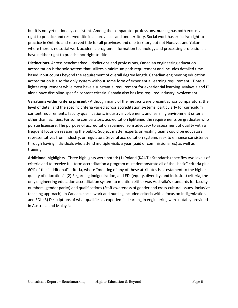but it is not yet nationally consistent. Among the comparator professions, nursing has both exclusive right to practice and reserved title in all provinces and one territory. Social work has exclusive right to practice in Ontario and reserved title for all provinces and one territory but not Nunavut and Yukon where there is no social work academic program. Information technology and processing professionals have neither right to practice nor right to title.

**Distinctions**- Across benchmarked jurisdictions and professions, Canadian engineering education accreditation is the sole system that utilizes a minimum path requirement and includes detailed timebased input counts beyond the requirement of overall degree length. Canadian engineering education accreditation is also the only system without some form of experiential learning requirement; IT has a lighter requirement while most have a substantial requirement for experiential learning. Malaysia and IT alone have discipline-specific content criteria. Canada also has less required industry involvement.

**Variations within criteria present** - Although many of the metrics were present across comparators, the level of detail and the specific criteria varied across accreditation systems, particularly for curriculum content requirements, faculty qualifications, industry involvement, and learning environment criteria other than facilities. For some comparators, accreditation lightened the requirements on graduates who pursue licensure. The purpose of accreditation spanned from advocacy to assessment of quality with a frequent focus on reassuring the public. Subject matter experts on visiting teams could be educators, representatives from industry, or regulators. Several accreditation systems seek to enhance consistency through having individuals who attend multiple visits a year (paid or commissionaires) as well as training.

**Additional highlights** - Three highlights were noted: (1) Poland (KAUT's Standards) specifies two levels of criteria and to receive full-term accreditation a program must demonstrate all of the "basic" criteria plus 60% of the "additional" criteria, where "meeting of any of these attributes is a testament to the higher quality of education". (2) Regarding Indigenization, and EDI (equity, diversity, and inclusion) criteria, the only engineering education accreditation system to mention either was Australia's standards for faculty numbers (gender parity) and qualifications (Staff awareness of gender and cross-cultural issues, inclusive teaching approach). In Canada, social work and nursing included criteria with a focus on Indigenization and EDI. (3) Descriptions of what qualifies as experiential learning in engineering were notably provided in Australia and Malaysia.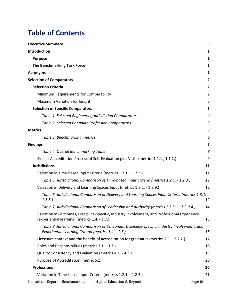# **Table of Contents**

| <b>Executive Summary</b>                                                                                                                               |                |
|--------------------------------------------------------------------------------------------------------------------------------------------------------|----------------|
| Introduction                                                                                                                                           | 1              |
| <b>Purpose</b>                                                                                                                                         | 1              |
| <b>The Benchmarking Task Force</b>                                                                                                                     | 1              |
| <b>Acronyms</b>                                                                                                                                        | 1              |
| <b>Selection of Comparators</b>                                                                                                                        | $\mathbf{2}$   |
| <b>Selection Criteria</b>                                                                                                                              | $\overline{2}$ |
| Minimum Requirements for Comparability                                                                                                                 | $\overline{2}$ |
| Maximum Variation for Insight                                                                                                                          | 3              |
| <b>Selection of Specific Comparators</b>                                                                                                               | 3              |
| Table 1. Selected Engineering Jurisdiction Comparators                                                                                                 | 4              |
| Table 2. Selected Canadian Profession Comparators                                                                                                      | 5              |
| <b>Metrics</b>                                                                                                                                         | 5              |
| Table 3. Benchmarking metrics                                                                                                                          | 6              |
| <b>Findings</b>                                                                                                                                        | 7              |
| Table 4. Overall Benchmarking Table                                                                                                                    | 8              |
| Similar Accreditation Process of Self-Evaluation plus Visits (metrics 1.1.1., 1.1.2.)                                                                  | 9              |
| <b>Jurisdictions</b>                                                                                                                                   | 11             |
| Variation in Time-based Input Criteria (metrics 1.2.1. - 1.2.3.)                                                                                       | 11             |
| Table 5. Jurisdictional Comparison of Time-based Input Criteria (metrics 1.2.1. - 1.2.3.)                                                              | 11             |
| Variation in Delivery and Learning Spaces Input (metrics 1.3.1. - 1.3.9.)                                                                              | 12             |
| Table 6. Jurisdictional Comparison of Delivery and Learning Spaces Input Criteria (metrics 1.3.1. -<br>1.3.8.                                          | 12             |
| Table 7. Jurisdictional Comparison of Leadership and Authority (metrics 1.3.9.1 - 1.3.9.4.)                                                            | 14             |
| Variation in Outcomes, Discipline-specific, Industry Involvement, and Professional Experience<br>(experiential learning) (metrics 1.4. - 1.7.)         | 15             |
| Table 8. Jurisdictional Comparison of Outcomes, Discipline-specific, Industry Involvement, and<br>Experiential Learning Criteria (metrics 1.4. - 1.7.) | 15             |
| Licensure context and the benefit of accreditation for graduates (metrics 2.1. - 2.2.2.)                                                               | 17             |
| Roles and Responsibilities (metrics 3.1. - 3.3.)                                                                                                       | 18             |
| Quality Consistency and Evaluation (metrics 4.1. - 4.3.)                                                                                               | 19             |
| Purpose of Accreditation (metric 5.1.)                                                                                                                 | 20             |
| <b>Professions</b>                                                                                                                                     | 20             |
| Variation in Time-based Input Criteria (metrics 1.2.1. - 1.2.3.)                                                                                       | 21             |
| Consultant Report - Benchmarking<br>Higher Education & Beyond                                                                                          | Page iii       |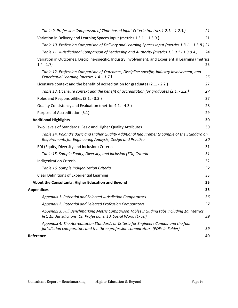| Table 9. Profession Comparison of Time-based Input Criteria (metrics 1.2.1. - 1.2.3.)                                                                                    | 21 |
|--------------------------------------------------------------------------------------------------------------------------------------------------------------------------|----|
| Variation in Delivery and Learning Spaces Input (metrics 1.3.1. - 1.3.9.)                                                                                                | 21 |
| Table 10. Profession Comparison of Delivery and Learning Spaces Input (metrics 1.3.1. - 1.3.8.) 21                                                                       |    |
| Table 11. Jurisdictional Comparison of Leadership and Authority (metrics 1.3.9.1 - 1.3.9.4.)                                                                             | 24 |
| Variation in Outcomes, Discipline-specific, Industry Involvement, and Experiential Learning (metrics<br>$1.4 - 1.7$                                                      | 25 |
| Table 12. Profession Comparison of Outcomes, Discipline-specific, Industry Involvement, and<br>Experiential Learning (metrics 1.4. - 1.7.)                               | 25 |
| Licensure context and the benefit of accreditation for graduates (2.1. - 2.2.)                                                                                           | 27 |
| Table 13. Licensure context and the benefit of accreditation for graduates (2.1. - 2.2.)                                                                                 | 27 |
| Roles and Responsibilities (3.1. - 3.3.)                                                                                                                                 | 27 |
| Quality Consistency and Evaluation (metrics 4.1. - 4.3.)                                                                                                                 | 28 |
| Purpose of Accreditation (5.1)                                                                                                                                           | 29 |
| <b>Additional Highlights</b>                                                                                                                                             | 30 |
| Two Levels of Standards: Basic and Higher Quality Attributes                                                                                                             | 30 |
| Table 14. Poland's Basic and Higher Quality Additional Requirements Sample of the Standard on<br>Requirements for Engineering Analysis, Design and Practice              | 30 |
| EDI (Equity, Diversity and Inclusion) Criteria                                                                                                                           | 31 |
| Table 15. Sample Equity, Diversity, and inclusion (EDI) Criteria                                                                                                         | 31 |
| Indigenization Criteria                                                                                                                                                  | 32 |
| Table 16. Sample Indigenization Criteria                                                                                                                                 | 32 |
| Clear Definitions of Experiential Learning                                                                                                                               | 33 |
| About the Consultants: Higher Education and Beyond                                                                                                                       | 35 |
| <b>Appendices</b>                                                                                                                                                        | 35 |
| Appendix 1. Potential and Selected Jurisdiction Comparators                                                                                                              | 36 |
| Appendix 2. Potential and Selected Profession Comparators                                                                                                                | 37 |
| Appendix 3. Full Benchmarking Metric Comparison Tables including tabs including 1a. Metrics<br>list; 1b. Jurisdictions; 1c. Professions; 1d. Social Work. (Excel)        | 39 |
| Appendix 4. The Accreditation Standards or Criteria for Engineers Canada and the four<br>jurisdiction comparators and the three profession comparators. (PDFs in Folder) | 39 |
| Reference                                                                                                                                                                | 40 |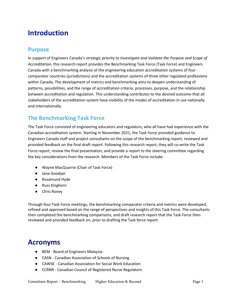# <span id="page-5-0"></span>**Introduction**

#### <span id="page-5-1"></span>**Purpose**

In support of Engineers Canada's strategic priority to *Investigate and Validate the Purpose and Scope of Accreditation*, this research report provides the Benchmarking Task Force (Task Force) and Engineers Canada with a benchmarking analysis of the engineering education accreditation systems of four comparator countries (jurisdictions) and the accreditation systems of three other regulated professions within Canada. The development of metrics and benchmarking aims to deepen understanding of patterns, possibilities, and the range of accreditation criteria, processes, purpose, and the relationship between accreditation and regulation. This understanding contributes to the desired outcome that all stakeholders of the accreditation system have visibility of the modes of accreditation in use nationally and internationally.

# <span id="page-5-2"></span>**The Benchmarking Task Force**

The Task Force consisted of engineering educators and regulators, who all have had experience with the Canadian accreditation system. Starting in November 2021, the Task Force provided guidance to Engineers Canada staff and project consultants on the scope of the benchmarking report, reviewed and provided feedback on the final draft report. Following this research report, they will co-write the Task Force report, review the final presentation, and provide a report to the steering committee regarding the key considerations from the research. Members of the Task Force include:

- Wayne MacQuarrie (Chair of Task Force)
- Jane Goodyer
- Rosamund Hyde
- Russ Kinghorn
- Chris Roney

Through four Task Force meetings, the benchmarking comparator criteria and metrics were developed, refined and approved based on the range of perspectives and insights of this Task Force. The consultants then completed the benchmarking comparisons, and draft research report that the Task Force then reviewed and provided feedback on, prior to drafting the Task force report.

# <span id="page-5-3"></span>**Acronyms**

- BEM Board of Engineers Malaysia
- CASN Canadian Association of Schools of Nursing
- CAWSE Canadian Association for Social Work Education
- CCRNR Canadian Council of Registered Nurse Regulators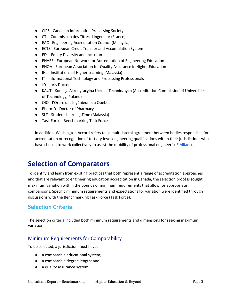- CIPS Canadian Information Processing Society
- CTI Commission des Titres d'Ingénieur (France)
- EAC Engineering Accreditation Council (Malaysia)
- ECTS European Credit Transfer and Accumulation System
- EDI Equity Diversity and Inclusion
- ENAEE European Network for Accreditation of Engineering Education
- ENQA European Association for Quality Assurance in Higher Education
- IHL Institutions of Higher Learning (Malaysia)
- IT Informational Technology and Processing Professionals
- JD Juris Doctor
- KAUT Komisja Akredytacyjna Uczelni Technicznych (Accreditation Commission of Universities of Technology, Poland)
- OIQ l'Ordre des Ingénieurs du Quebec
- PharmD Doctor of Pharmacy
- SLT Student Learning Time (Malaysia)
- Task Force Benchmarking Task Force

In addition, Washington Accord refers to "a multi-lateral agreement between bodies responsible for accreditation or recognition of tertiary-level engineering qualifications within their jurisdictions who have chosen to work collectively to assist the mobility of professional engineer" [\(IE Alliance\)](https://www.ieagreements.org/accords/washington/).

# <span id="page-6-0"></span>**Selection of Comparators**

To identify and learn from existing practices that both represent a range of accreditation approaches and that are relevant to engineering education accreditation in Canada, the selection process sought maximum variation within the bounds of minimum requirements that allow for appropriate comparisons. Specific minimum requirements and expectations for variation were identified through discussions with the Benchmarking Task Force (Task Force).

#### <span id="page-6-1"></span>**Selection Criteria**

The selection criteria included both minimum requirements and dimensions for seeking maximum variation.

#### <span id="page-6-2"></span>Minimum Requirements for Comparability

To be selected, a jurisdiction must have:

- a comparable educational system;
- a comparable degree length; and
- a quality assurance system.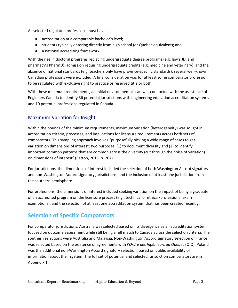All selected regulated professions must have:

- accreditation at a comparable bachelor's level;
- students typically entering directly from high school (or Quebec equivalent); and
- a national accrediting framework.

With the rise in doctoral programs replacing undergraduate degree programs (e.g. law's JD, and pharmacy's PharmD), admission requiring undergraduate credits (e.g. medicine and veterinary), and the absence of national standards (e.g. teachers only have province-specific standards), several well-known Canadian professions were excluded. A final consideration was for at least some comparator profession to be regulated with exclusive right to practice or reserved title or both.

With these minimum requirements, an initial environmental scan was conducted with the assistance of Engineers Canada to identify 36 potential jurisdictions with engineering education accreditation systems and 10 potential professions regulated in Canada.

#### <span id="page-7-0"></span>Maximum Variation for Insight

Within the bounds of the minimum requirements, maximum variation (heterogeneity) was sought in accreditation criteria, processes, and implications for licensure requirements across both sets of comparators. This sampling approach involves "purposefully picking a wide range of cases to get variation on dimensions of interest; two purposes: (1) to document diversity and (2) to identify important common patterns that are common across the diversity (cut through the noise of variation) on dimensions of interest" (Patton, 2015, p. 267).

For jurisdictions, the dimensions of interest included the selection of both Washington Accord signatory and non-Washington Accord signatory jurisdictions, and the inclusion of at least one jurisdiction from the southern hemisphere.

For professions, the dimensions of interest included seeking variation on the impact of being a graduate of an accredited program on the licensure process (e.g., technical or ethical/professional exam exemptions), and the selection of at least one accreditation system that has been created recently.

# <span id="page-7-1"></span>**Selection of Specific Comparators**

For comparator jurisdictions, Australia was selected based on its divergence as an accreditation system focused on outcome assessment while still being a full match to Canada across the selection criteria. The southern selections were Australia and Malaysia. Non-Washington Accord signatory selection of France was selected based on the existence of agreements with *l'Ordre des Ingénieurs du Quebec* (OIQ). Poland was the additional non-Washington Accord signatory selection, based on public availability of information about their system. The full set of potential and selected jurisdiction comparators are in Appendix 1.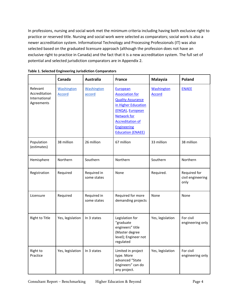In professions, nursing and social work met the minimum criteria including having both exclusive right to practice or reserved title. Nursing and social work were selected as comparators; social work is also a newer accreditation system. Informational Technology and Processing Professionals (IT) was also selected based on the graduated licensure approach (although the profession does not have an exclusive right to practice in Canada) and the fact that it is a new accreditation system. The full set of potential and selected jurisdiction comparators are in Appendix 2.

|                                                          | Canada                             | <b>Australia</b>            | <b>France</b>                                                                                                                                                                                                | <b>Malaysia</b>                    | Poland                                    |
|----------------------------------------------------------|------------------------------------|-----------------------------|--------------------------------------------------------------------------------------------------------------------------------------------------------------------------------------------------------------|------------------------------------|-------------------------------------------|
| Relevant<br>Accreditation<br>International<br>Agreements | <b>Washington</b><br><b>Accord</b> | <b>Washington</b><br>accord | European<br><b>Association for</b><br><b>Quality Assurance</b><br>in Higher Education<br>(ENQA), European<br><b>Network for</b><br><b>Accreditation of</b><br><b>Engineering</b><br><b>Education (ENAEE)</b> | <b>Washington</b><br><b>Accord</b> | <b>ENAEE</b>                              |
| Population<br>(estimates)                                | 38 million                         | 26 million                  | 67 million                                                                                                                                                                                                   | 33 million                         | 38 million                                |
| Hemisphere                                               | Northern                           | Southern                    | Northern                                                                                                                                                                                                     | Southern                           | Northern                                  |
| Registration                                             | Required                           | Required in<br>some states  | None                                                                                                                                                                                                         | Required.                          | Required for<br>civil engineering<br>only |
| Licensure                                                | Required                           | Required in<br>some states  | Required for more<br>demanding projects                                                                                                                                                                      | None                               | None                                      |
| <b>Right to Title</b>                                    | Yes, legislation                   | In 3 states                 | Legislation for<br>"graduate<br>engineers" title<br>(Master degree<br>level); Engineer not<br>regulated                                                                                                      | Yes, legislation                   | For civil<br>engineering only             |
| Right to<br>Practice                                     | Yes, legislation                   | In 3 states                 | Limited in project<br>type. More<br>advanced "State<br>Engineers" can do<br>any project.                                                                                                                     | Yes, legislation                   | For civil<br>engineering only             |

#### <span id="page-8-0"></span>**Table 1. Selected Engineering Jurisdiction Comparators**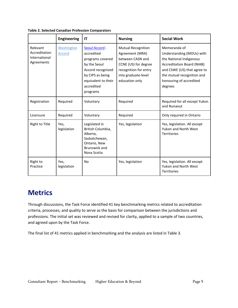|                                                          | <b>Engineering</b>   | IT                                                                                                                                                         | <b>Nursing</b>                                                                                                                                             | <b>Social Work</b>                                                                                                                                                                                           |
|----------------------------------------------------------|----------------------|------------------------------------------------------------------------------------------------------------------------------------------------------------|------------------------------------------------------------------------------------------------------------------------------------------------------------|--------------------------------------------------------------------------------------------------------------------------------------------------------------------------------------------------------------|
| Relevant<br>Accreditation<br>International<br>Agreements | Washington<br>Accord | Seoul Accord -<br>accredited<br>programs covered<br>by the Seoul<br>Accord recognized<br>by CIPS as being<br>equivalent to their<br>accredited<br>programs | <b>Mutual Recognition</b><br>Agreement (MRA)<br>between CASN and<br>CCNE (US) for degree<br>recognition for entry<br>into graduate-level<br>education only | Memoranda of<br>Understanding (MOUs) with<br>the National Indigenous<br><b>Accreditation Board (NIAB)</b><br>and CSWE (US) that agree to<br>the mutual recognition and<br>honouring of accredited<br>degrees |
| Registration                                             | Required             | Voluntary                                                                                                                                                  | Required                                                                                                                                                   | Required for all except Yukon<br>and Nunavut                                                                                                                                                                 |
| Licensure                                                | Required             | Voluntary                                                                                                                                                  | Required                                                                                                                                                   | Only required in Ontario                                                                                                                                                                                     |
| Right to Title                                           | Yes,<br>legislation  | Legislated in<br>British Columbia,<br>Alberta,<br>Saskatchewan,<br>Ontario, New<br>Brunswick and<br>Nova Scotia                                            | Yes, legislation                                                                                                                                           | Yes, legislation. All except<br>Yukon and North West<br><b>Territories</b>                                                                                                                                   |
| Right to<br>Practice                                     | Yes,<br>legislation  | No                                                                                                                                                         | Yes, legislation                                                                                                                                           | Yes, legislation. All except<br>Yukon and North West<br>Territories                                                                                                                                          |

<span id="page-9-0"></span>**Table 2. Selected Canadian Profession Comparators**

# <span id="page-9-1"></span>**Metrics**

Through discussions, the Task Force identified 41 key benchmarking metrics related to accreditation criteria, processes, and quality to serve as the basis for comparison between the jurisdictions and professions. The initial set was reviewed and revised for clarity, applied to a sample of two countries, and agreed upon by the Task Force.

The final list of 41 metrics applied in benchmarking and the analysis are listed in Table 3.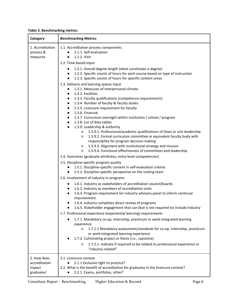<span id="page-10-0"></span>

|  | <b>Table 3. Benchmarking metrics</b> |  |
|--|--------------------------------------|--|
|--|--------------------------------------|--|

| Category                                             | <b>Benchmarking Metrics</b>                                                                                                                                                                                                                                                                                                                                                                                                                                                                                                                                                                                                                                                                                                                                                                                                                                                |  |  |  |  |
|------------------------------------------------------|----------------------------------------------------------------------------------------------------------------------------------------------------------------------------------------------------------------------------------------------------------------------------------------------------------------------------------------------------------------------------------------------------------------------------------------------------------------------------------------------------------------------------------------------------------------------------------------------------------------------------------------------------------------------------------------------------------------------------------------------------------------------------------------------------------------------------------------------------------------------------|--|--|--|--|
| 1. Accreditation<br>process &<br>measures            | 1.1. Accreditation process components<br>1.1.1. Self-evaluation<br>1.1.2. Visit<br>1.2. Time-based input                                                                                                                                                                                                                                                                                                                                                                                                                                                                                                                                                                                                                                                                                                                                                                   |  |  |  |  |
|                                                      | 1.2.1. Overall degree length (what constitutes a degree)<br>1.2.2. Specific counts of hours for each course based on type of instruction<br>1.2.3. Specific counts of hours for specific content areas                                                                                                                                                                                                                                                                                                                                                                                                                                                                                                                                                                                                                                                                     |  |  |  |  |
|                                                      | 1.3. Delivery and learning spaces input<br>1.3.1. Measures of interpersonal climate<br>1.3.2. Facilities<br>$\bullet$<br>1.3.3. Faculty qualifications (competence requirements)<br>$\bullet$<br>1.3.4. Number of faculty & faculty duties<br>$\bullet$<br>1.3.5. Licensure requirement for faculty<br>$\bullet$<br>1.3.6. Financial<br>$\bullet$<br>1.3.7. Curriculum oversight within institution / school / program<br>$\bullet$<br>1.3.8. List of data tables<br>1.3.9. Leadership & authority<br>1.3.9.1. Professional/academic qualifications of Dean or unit leadership<br>O<br>1.3.9.2. Formal curriculum committee or equivalent faculty body with<br>$\circ$<br>responsibility for program decision-making<br>1.3.9.3. Alignment with institutional strategy and mission<br>$\circ$<br>1.3.9.4. Functional effectiveness of committees and leadership<br>$\circ$ |  |  |  |  |
|                                                      | 1.4. Outcomes (graduate attributes; entry-level competencies)                                                                                                                                                                                                                                                                                                                                                                                                                                                                                                                                                                                                                                                                                                                                                                                                              |  |  |  |  |
|                                                      | 1.5. Discipline-specific program quality<br>1.5.1. Discipline-specific content in self-evaluation criteria<br>1.5.2. Discipline-specific perspective on the visiting team                                                                                                                                                                                                                                                                                                                                                                                                                                                                                                                                                                                                                                                                                                  |  |  |  |  |
|                                                      | 1.6. Involvement of industry in programs                                                                                                                                                                                                                                                                                                                                                                                                                                                                                                                                                                                                                                                                                                                                                                                                                                   |  |  |  |  |
|                                                      | 1.6.1. Industry as stakeholders of accreditation council/boards<br>$\bullet$<br>1.6.2. Industry as members of accreditation visits<br>1.6.3. Program requirement for industry advisory panel to inform continual<br>improvement<br>1.6.4. Industry completes direct review of programs<br>1.6.5. Stakeholder engagement that can (but is not required to) include industry                                                                                                                                                                                                                                                                                                                                                                                                                                                                                                 |  |  |  |  |
|                                                      | 1.7. Professional experience (experiential learning) requirements                                                                                                                                                                                                                                                                                                                                                                                                                                                                                                                                                                                                                                                                                                                                                                                                          |  |  |  |  |
|                                                      | 1.7.1. Mandatory co-op, internship, practicum or work-integrated learning<br>experience<br>1.7.1.1 Mandatory assessment/standards for co-op, internship, practicum<br>O<br>or work-integrated learning experience<br>1.7.2. Culminating project or thesis (i.e., capstone)<br>1.7.2.1. Indicate if required to be related to professional experience or<br>O<br>"industry-related"                                                                                                                                                                                                                                                                                                                                                                                                                                                                                         |  |  |  |  |
| 2. How does<br>accreditation<br>impact<br>graduates' | 2.1. Licensure context<br>2.1.1 Exclusive right to practice?<br>2.2. What is the benefit of accreditation for graduates in the licensure context?<br>2.2.1. Exams, portfolios, other?                                                                                                                                                                                                                                                                                                                                                                                                                                                                                                                                                                                                                                                                                      |  |  |  |  |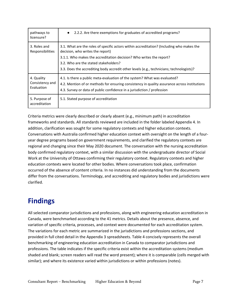| pathways to                      | 2.2.2. Are there exemptions for graduates of accredited programs?                                                                                                                                                                                                                                                                         |
|----------------------------------|-------------------------------------------------------------------------------------------------------------------------------------------------------------------------------------------------------------------------------------------------------------------------------------------------------------------------------------------|
| licensure?                       | $\bullet$                                                                                                                                                                                                                                                                                                                                 |
| 3. Roles and<br>Responsibilities | 3.1. What are the roles of specific actors within accreditation? (Including who makes the<br>decision, who writes the report)<br>3.1.1. Who makes the accreditation decision? Who writes the report?<br>3.2. Who are the stated stakeholders?<br>3.3. Does the accrediting body accredit other levels (e.g., technicians; technologists)? |
| 4. Quality                       | 4.1. Is there a public meta-evaluation of the system? What was evaluated?                                                                                                                                                                                                                                                                 |
| Consistency and                  | 4.2. Mention of or methods for ensuring consistency in quality assurance across institutions                                                                                                                                                                                                                                              |
| Evaluation                       | 4.3. Survey or data of public confidence in a jurisdiction / profession                                                                                                                                                                                                                                                                   |
| 5. Purpose of<br>accreditation   | 5.1. Stated purpose of accreditation                                                                                                                                                                                                                                                                                                      |

Criteria metrics were clearly described or clearly absent (e.g., minimum path) in accreditation frameworks and standards. All standards reviewed are included in the folder labeled Appendix 4. In addition, clarification was sought for some regulatory contexts and higher education contexts. Conversations with Australia confirmed higher education context with oversight on the length of a fouryear degree programs based on government requirements, and clarified the regulatory contexts are regional and changing since their May 2020 document. The conversation with the nursing accreditation body confirmed regulatory context, with a similar discussion with the undergraduate director of Social Work at the University of Ottawa confirming their regulatory context. Regulatory contexts and higher education contexts were located for other bodies. Where conversations took place, confirmation occurred of the absence of content criteria. In no instances did understanding from the documents differ from the conversations. Terminology, and accrediting and regulatory bodies and jurisdictions were clarified.

# <span id="page-11-0"></span>**Findings**

All selected comparator jurisdictions and professions, along with engineering education accreditation in Canada, were benchmarked according to the 41 metrics. Details about the presence, absence, and variation of specific criteria, processes, and context were documented for each accreditation system. The variations for each metric are summarized in the jurisdictions and professions sections, and provided in full cited detail in the Appendix 3 spreadsheets. Table 4 concisely represents the overall benchmarking of engineering education accreditation in Canada to comparator jurisdictions and professions. The table indicates if the specific criteria exist within the accreditation systems (medium shaded and blank; screen readers will read the word present); where it is comparable (cells merged with similar); and where its existence varied within jurisdictions or within professions (notes).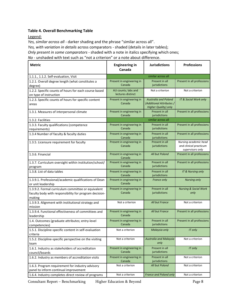#### <span id="page-12-0"></span>**Table 4. Overall Benchmarking Table**

Legend:

*Yes, similar across all* - darker shading and the phrase "similar across all".

*Yes, with variation in details* across comparators - shaded (details in later tables);

*Only present in some comparators* - shaded with a note in italics specifying which ones;

*No* - unshaded with text such as "not a criterion" or a note about difference.

| <b>Metric</b>                                                                                                          | <b>Engineering in</b><br>Canada          | <b>Jurisdictions</b>                                                                   | <b>Professions</b>                                                  |
|------------------------------------------------------------------------------------------------------------------------|------------------------------------------|----------------------------------------------------------------------------------------|---------------------------------------------------------------------|
| 1.1.1., 1.1.2. Self-evaluation, Visit                                                                                  |                                          | similar across all                                                                     |                                                                     |
| 1.2.1. Overall degree length (what constitutes a<br>degree)                                                            | Present in engineering in<br>Canada      | Present in all<br>jurisdictions                                                        | Present in all professions                                          |
| 1.2.2. Specific counts of hours for each course based<br>on type of instruction                                        | AU counts; labs and<br>lectures distinct | Not a criterion                                                                        | Not a criterion                                                     |
| 1.2.3. Specific counts of hours for specific content<br>areas                                                          | Present in engineering in<br>Canada      | <b>Australia and Poland</b><br>(Additional Attributes /<br><b>Higher Quality) only</b> | IT & Social Work only                                               |
| 1.3.1. Measures of interpersonal climate                                                                               | Present in engineering in<br>Canada      | Present in all<br>jurisdictions                                                        | Present in all professions                                          |
| 1.3.2. Facilities                                                                                                      |                                          | similar across all                                                                     |                                                                     |
| 1.3.3. Faculty qualifications (competence<br>requirements)                                                             | Present in engineering in<br>Canada      | Present in all<br>jurisdictions                                                        | Present in all professions                                          |
| 1.3.4 Number of faculty & faculty duties                                                                               | Present in engineering in<br>Canada      | Present in all<br>jurisdictions                                                        | Present in all professions                                          |
| 1.3.5. Licensure requirement for faculty                                                                               | Present in engineering in<br>Canada      | Present in all<br>jurisdictions                                                        | Nursing academic head<br>and clinical practicum<br>supervisors only |
| 1.3.6. Financial                                                                                                       | Present in engineering in<br>Canada      | All but Poland                                                                         | Present in all professions                                          |
| 1.3.7. Curriculum oversight within institution/school/<br>program                                                      | Present in engineering in<br>Canada      | Present in all<br>jurisdictions                                                        | Present in all professions                                          |
| 1.3.8. List of data tables                                                                                             | Present in engineering in<br>Canada      | Present in all<br>jurisdictions                                                        | IT & Nursing only                                                   |
| 1.3.9.1. Professional/academic qualifications of Dean<br>or unit leadership                                            | Present in engineering in<br>Canada      | France only                                                                            | <b>Nursing only</b>                                                 |
| 1.3.9.2. Formal curriculum committee or equivalent<br>faculty body with responsibility for program decision-<br>making | Present in engineering in<br>Canada      | Present in all<br>jurisdictions                                                        | <b>Nursing &amp; Social Work</b><br>only                            |
| 1.3.9.3. Alignment with institutional strategy and<br>mission                                                          | Not a criterion                          | All but France                                                                         | Not a criterion                                                     |
| 1.3.9.4. Functional effectiveness of committees and<br>leadership                                                      | Present in engineering in<br>Canada      | All but France                                                                         | Present in all professions                                          |
| 1.4. Outcomes (graduate attributes; entry-level<br>competencies)                                                       | Present in engineering in<br>Canada      | Present in all<br>jurisdictions                                                        | Present in all professions                                          |
| 1.5.1. Discipline-specific content in self-evaluation<br>criteria                                                      | Not a criterion                          | Malaysia only                                                                          | IT only                                                             |
| 1.5.2. Discipline-specific perspective on the visiting<br>team                                                         | Not a criterion                          | <b>Australia and Malaysia</b><br>only                                                  | Not a criterion                                                     |
| 1.6.1. Industry as stakeholders of accreditation<br>council/boards                                                     | Present in engineering in<br>Canada      | Present in all<br>jurisdictions                                                        | IT only                                                             |
| 1.6.2. Industry as members of accreditation visits                                                                     | Present in engineering in<br>Canada      | Present in all<br>jurisdictions                                                        | Not a criterion                                                     |
| 1.6.3. Program requirement for industry advisory<br>panel to inform continual improvement                              | Not a criterion                          | All but Poland                                                                         | Not a criterion                                                     |
| 1.6.4. Industry completes direct review of programs                                                                    | Not a criterion                          | <b>France and Poland only</b>                                                          | Not a criterion                                                     |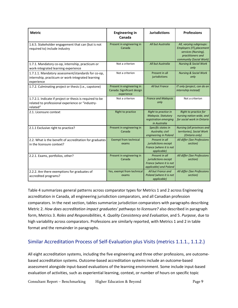| <b>Metric</b>                                                                                                            | <b>Engineering in</b><br>Canada                                       | <b>Jurisdictions</b>                                                                        | <b>Professions</b>                                                                                                          |  |
|--------------------------------------------------------------------------------------------------------------------------|-----------------------------------------------------------------------|---------------------------------------------------------------------------------------------|-----------------------------------------------------------------------------------------------------------------------------|--|
| 1.6.5. Stakeholder engagement that can (but is not<br>required to) include industry                                      | Present in engineering in<br>Canada                                   | All but Australia                                                                           | All, varying subgroups:<br>Employers (IT), placement<br>services (Nursing),<br>practitioners and<br>community (Social Work) |  |
| 1.7.1. Mandatory co-op, internship, practicum or<br>work-integrated learning experience                                  | Not a criterion                                                       | All but Australia                                                                           | <b>Nursing &amp; Social Work</b><br>only                                                                                    |  |
| 1.7.1.1. Mandatory assessment/standards for co-op,<br>internship, practicum or work-integrated learning<br>experience    | Not a criterion                                                       | Present in all<br>jurisdictions                                                             | <b>Nursing &amp; Social Work</b><br>only                                                                                    |  |
| 1.7.2. Culminating project or thesis (i.e., capstone)                                                                    | Present in engineering in<br>Canada: Significant design<br>experience | All but France                                                                              | IT only (project, can do an<br>internship instead)                                                                          |  |
| 1.7.2.1. Indicate if project or thesis is required to be<br>related to professional experience or "industry-<br>related" | Not a criterion                                                       | <b>France and Malaysia</b><br>only                                                          | Not a criterion                                                                                                             |  |
| 2.1. Licensure context                                                                                                   | Right to practice                                                     | Right to practice in<br>Malaysia. Statutory<br>registration emerging<br>in Australia        | Right to practice for<br>nursing nation-wide, and<br>for social work in Ontario                                             |  |
| 2.1.1 Exclusive right to practice?                                                                                       | Present in engineering in<br>Canada                                   | Specific states in<br>Australia; civil<br>engineering in Poland                             | Nursing (all provinces and<br>territories), Social Work<br>(Ontario only)                                                   |  |
| 2.2. What is the benefit of accreditation for graduates<br>in the licensure context?                                     | <b>Exempt from technical</b><br>exams                                 | Present in all<br>jurisdictions except<br>France (where it is not<br>applicable)            | All differ (See Professions<br>section)                                                                                     |  |
| 2.2.1. Exams, portfolios, other?                                                                                         | Present in engineering in<br>Canada                                   | Present in all<br>jurisdictions except<br>France (where it is not<br>applicable) and Poland | All differ (See Professions<br>section)                                                                                     |  |
| 2.2.2. Are there exemptions for graduates of<br>accredited programs?                                                     | Yes, exempt from technical<br>exams                                   | All but France and<br>Poland (where it is not<br><i>applicable</i> )                        | All differ (See Professions<br>section)                                                                                     |  |

Table 4 summarizes general patterns across comparator types for Metrics 1 and 2 across Engineering accreditation in Canada, all engineering jurisdiction comparators, and all Canadian profession comparators. In the next section, tables summarize jurisdiction comparators with paragraphs describing Metric 2. *How does accreditation impact graduates' pathways to licensure?* also described in paragraph form, Metrics 3. *Roles and Responsibilities*, 4. *Quality Consistency and Evaluation*, and 5. *Purpose*, due to high variability across comparators. Professions are similarly reported, with Metrics 1 and 2 in table format and the remainder in paragraphs.

#### <span id="page-13-0"></span>Similar Accreditation Process of Self-Evaluation plus Visits (metrics 1.1.1., 1.1.2.)

All eight accreditation systems, including the five engineering and three other professions, are outcomebased accreditation systems. Outcome-based accreditation systems include an outcome-based assessment alongside input-based evaluations of the learning environment. Some include input-based evaluation of activities, such as experiential learning, context, or number of hours on specific topic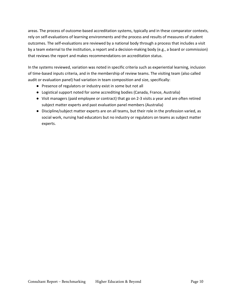areas. The process of outcome-based accreditation systems, typically and in these comparator contexts, rely on self-evaluations of learning environments and the process and results of measures of student outcomes. The self-evaluations are reviewed by a national body through a process that includes a visit by a team external to the institution, a report and a decision-making body (e.g., a board or commission) that reviews the report and makes recommendations on accreditation status.

In the systems reviewed, variation was noted in specific criteria such as experiential learning, inclusion of time-based inputs criteria, and in the membership of review teams. The visiting team (also called audit or evaluation panel) had variation in team composition and size, specifically:

- Presence of regulators or industry exist in some but not all
- Logistical support noted for some accrediting bodies (Canada, France, Australia)
- Visit managers (paid employee or contract) that go on 2-3 visits a year and are often retired subject matter experts and past evaluation panel members (Australia)
- Discipline/subject matter experts are on all teams, but their role in the profession varied, as social work, nursing had educators but no industry or regulators on teams as subject matter experts.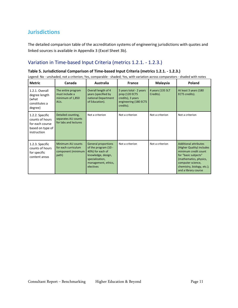# <span id="page-15-0"></span>**Jurisdictions**

The detailed comparison table of the accreditation systems of engineering jurisdictions with quotes and linked sources is available in Appendix 3 (Excel Sheet 3b).

#### <span id="page-15-1"></span>Variation in Time-based Input Criteria (metrics 1.2.1. - 1.2.3.)

#### <span id="page-15-2"></span>**Table 5. Jurisdictional Comparison of Time-based Input Criteria (metrics 1.2.1. - 1.2.3.)**

| <b>Metric</b>                                                                            | Canada                                                                  | <b>Australia</b>                                                                                                                                    | <b>France</b>                                                                                        | <b>Malaysia</b>               | Poland                                                                                                                                                                                                         |
|------------------------------------------------------------------------------------------|-------------------------------------------------------------------------|-----------------------------------------------------------------------------------------------------------------------------------------------------|------------------------------------------------------------------------------------------------------|-------------------------------|----------------------------------------------------------------------------------------------------------------------------------------------------------------------------------------------------------------|
| 1.2.1. Overall<br>degree length<br>(what<br>constitutes a<br>degree)                     | The entire program<br>must include a<br>minimum of 1,850<br>AUs.        | Overall length of 4<br>years (specified by<br>national Department<br>of Education).                                                                 | 5 years total - 2 years<br>prep (120 ECTS<br>credits), 3 years<br>engineering (180 ECTS<br>credits). | 4 years (135 SLT<br>Credits). | At least 3 years (180<br>ECTS credits).                                                                                                                                                                        |
| 1.2.2. Specific<br>counts of hours<br>for each course<br>based on type of<br>instruction | Detailed counting,<br>separates AU counts<br>for labs and lectures      | Not a criterion                                                                                                                                     | Not a criterion                                                                                      | Not a criterion               | Not a criterion                                                                                                                                                                                                |
| 1.2.3. Specific<br>counts of hours<br>for specific<br>content areas                      | Minimum AU counts<br>for each curriculum<br>component (minimum<br>path) | <b>General proportions</b><br>of the program (10 -<br>40%) for each of<br>knowledge, design,<br>specialization,<br>management, ethics,<br>electives | Not a criterion                                                                                      | Not a criterion               | <b>Additional attributes</b><br>(Higher Quality) includes<br>minimum credit count<br>for "basic subjects"<br>(mathematics, physics,<br>computer science,<br>chemistry, biology, etc.);<br>and a library course |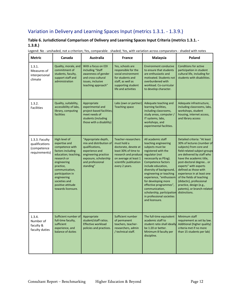### <span id="page-16-0"></span>Variation in Delivery and Learning Spaces Input (metrics 1.3.1. - 1.3.9.)

#### <span id="page-16-1"></span>**Table 6. Jurisdictional Comparison of Delivery and Learning Spaces Input Criteria (metrics 1.3.1. - 1.3.8.)**

| <b>Metric</b>                                                    | Canada                                                                                                                                                                                                                                                     | Australia                                                                                                                                                             | <b>France</b>                                                                                                                                                                   | Malaysia                                                                                                                                                                                                                                                                                                                                                                                                              | Poland                                                                                                                                                                                                                                                                                                                                                                                                                         |
|------------------------------------------------------------------|------------------------------------------------------------------------------------------------------------------------------------------------------------------------------------------------------------------------------------------------------------|-----------------------------------------------------------------------------------------------------------------------------------------------------------------------|---------------------------------------------------------------------------------------------------------------------------------------------------------------------------------|-----------------------------------------------------------------------------------------------------------------------------------------------------------------------------------------------------------------------------------------------------------------------------------------------------------------------------------------------------------------------------------------------------------------------|--------------------------------------------------------------------------------------------------------------------------------------------------------------------------------------------------------------------------------------------------------------------------------------------------------------------------------------------------------------------------------------------------------------------------------|
| 1.3.1.<br>Measures of<br>interpersonal<br>climate                | Quality, morale, and<br>commitment of<br>students, faculty,<br>support staff and<br>administration                                                                                                                                                         | With a focus on EDI<br>including "Staff<br>awareness of gender<br>and cross-cultural<br>issues, inclusive<br>teaching approach"                                       | Yes, schools are<br>responsible for the<br>social environment<br>for students and<br>staff, as well as<br>supporting student<br>life and activities                             | <b>Environment conducive</b><br>to ensure that students<br>are enthusiastic and<br>motivated. Students not<br>overburdened with<br>workload. Co-curricular<br>to develop character.                                                                                                                                                                                                                                   | <b>Conditions for active</b><br>participation in student<br>cultural life, including for<br>students with disabilities.                                                                                                                                                                                                                                                                                                        |
| 1.3.2.<br><b>Facilities</b>                                      | Quality, suitability,<br>accessibility of labs,<br>library, computing<br>facilities                                                                                                                                                                        | Appropriate<br>experimental and<br>project-based facilities;<br>meet needs of<br>students (including<br>those with a disability)                                      | Labs (own or partner)<br><b>Teaching space</b>                                                                                                                                  | Adequate teaching and<br>learning facilities,<br>including classrooms,<br>study areas, computer /<br>IT systems, labs,<br>workshops, and<br>experimental facilities.                                                                                                                                                                                                                                                  | Adequate infrastructure,<br>including classrooms, labs,<br>workshops, student<br>housing, internet access,<br>and library access                                                                                                                                                                                                                                                                                               |
| 1.3.3. Faculty<br>qualifications<br>(competence<br>requirements) | High level of<br>expertise and<br>competence with<br>factors including<br>education; teaching,<br>research or<br>engineering<br>practice,<br>communication,<br>participation in<br>engineering<br>societies and<br>positive attitude<br>towards licensure. | "Appropriate depth,<br>mix and distribution of<br>qualifications,<br>experience and<br>engineering practice<br>exposure, scholarship<br>and professional<br>standing" | Teacher-researchers<br>must hold a<br>doctorate, devote at<br>least 30% of time to<br>research and produce<br>on average at least 1<br>scientific publication<br>every 2 years. | All academic staff<br>teaching engineering<br>subjects must be<br>registered with the<br>regulator (not<br>necessarily as PEng).<br><b>Competence factors</b><br>include education,<br>diversity of background,<br>engineering or teaching<br>experience, "enthusiasm<br>for developing more<br>effective programmes",<br>communication,<br>scholarship, participation<br>in professional societies<br>and licensure. | Detailed criteria: "At least<br>30% of lectures (number of<br>subjects) from core and<br>field-related subject groups<br>are delivered by staff who<br>have the academic title,<br>post-doctoral degree or<br>experts" with experts<br>defined as those with<br>experience in at least one<br>of the fields of teaching<br>(didactic), professional<br>practice, design (e.g.,<br>patents), or branch-related<br>distinctions. |
| 1.3.4.<br>Number of<br>faculty &<br>faculty duties               | Sufficient number of<br>full-time faculty,<br>sufficient<br>experience, and<br>balance of duties                                                                                                                                                           | Appropriate<br>student/staff ratios.<br><b>Effective workload</b><br>policies and practices.                                                                          | Sufficient number<br>of permanent<br>teachers, teacher-<br>researchers, admin<br>/ technical staff.                                                                             | The full-time equivalent<br>academic staff to<br>student ratio shall ideally<br>be 1:20 or better.<br>Minimum 8 faculty per<br>discipline.                                                                                                                                                                                                                                                                            | Minimum staff<br>requirement as set by law.<br>Additional (higher quality)<br>criteria met if no more<br>than 15 students per lab)                                                                                                                                                                                                                                                                                             |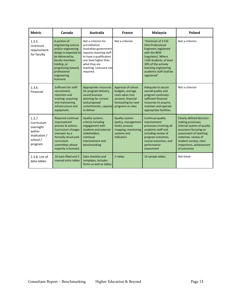<span id="page-17-0"></span>

| <b>Metric</b>                                                                       | Canada                                                                                                                                                                                                      | <b>Australia</b>                                                                                                                                                                                       | <b>France</b>                                                                                                                | Malaysia                                                                                                                                                                                                                          | Poland                                                                                                                                                                                                                       |
|-------------------------------------------------------------------------------------|-------------------------------------------------------------------------------------------------------------------------------------------------------------------------------------------------------------|--------------------------------------------------------------------------------------------------------------------------------------------------------------------------------------------------------|------------------------------------------------------------------------------------------------------------------------------|-----------------------------------------------------------------------------------------------------------------------------------------------------------------------------------------------------------------------------------|------------------------------------------------------------------------------------------------------------------------------------------------------------------------------------------------------------------------------|
| 1.3.5.<br>Licensure<br>requirement<br>for faculty                                   | A portion of<br>engineering science<br>and/or engineering<br>design is expected to<br>be delivered by<br>faculty members<br>holding, or<br>progressing toward,<br>professional<br>engineering<br>licensure. | Not a criterion for<br>accreditation.<br>Australian government<br>requires teaching staff<br>to have a qualification<br>one level higher than<br>what they are<br>teaching. Licensure not<br>required. | Not a criterion                                                                                                              | "minimum of 3 full-<br>time Professional<br><b>Engineers registered</b><br>with the BEM<br>[regulator]. Where<br>>160 students, at least<br>30% of the actively<br>teaching engineering<br>academic staff shall be<br>registered" | Not a criterion                                                                                                                                                                                                              |
| 1.3.6.<br>Financial                                                                 | Sufficient for staff<br>recruitment,<br>retention and<br>training; acquiring<br>and maintaining<br>infrastructure and<br>equipment.                                                                         | Appropriate resources<br>for program delivery,<br>sound business<br>planning for current<br>and proposed<br>commitments, capacity<br>to deliver                                                        | Approval of school<br>budgets, average<br>costs taken into<br>account, financial<br>forecasting for new<br>programs or sites | Adequate to assure<br>overall quality and<br>program continuity:<br>sufficient financial<br>resources to acquire,<br>maintain and operate<br>appropriate facilities.                                                              | Not a criterion                                                                                                                                                                                                              |
| 1.3.7.<br>Curriculum<br>oversight<br>within<br>institution /<br>school /<br>program | Required continual<br>improvement<br>process & actions.<br><b>Curriculum changes</b><br>overseen by a<br>formally structured<br>curriculum<br>committee whose<br>majority is licensed.                      | <b>Quality systems</b><br>criteria including<br>engagement with<br>students and external<br>stakeholders,<br>continual<br>improvement and<br>benchmarking                                              | <b>Quality system</b><br>(policy, management<br>tools); process<br>mapping; monitoring<br>systems and<br>indicators          | Continual quality<br>improvement<br>processes involving all<br>academic staff and<br>including review of<br>program outcomes,<br>course outcomes, and<br>performance<br>assessment                                                | Clearly-defined decision-<br>making processes;<br>internal system of quality<br>assurance focusing on<br>assessment of teaching<br>materials, review of<br>student surveys, class<br>inspections, achievement<br>of outcomes |
| 1.3.8. List of<br>data tables                                                       | 10 auto-filled and 3<br>manual entry tables                                                                                                                                                                 | Data checklist and<br>templates, includes<br>forms as well as tables.                                                                                                                                  | 5 tables                                                                                                                     | 16 sample tables                                                                                                                                                                                                                  | Not listed                                                                                                                                                                                                                   |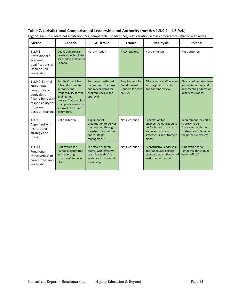#### **Table 7. Jurisdictional Comparison of Leadership and Authority (metrics 1.3.9.1 - 1.3.9.4.)**

<span id="page-18-0"></span>

| <b>Metric</b>                                                                                                                        | Canada                                                                                                                                                                                         | Australia                                                                                                              | <b>France</b>                                                  | <b>Malaysia</b>                                                                                                                               | Poland                                                                                                                 |
|--------------------------------------------------------------------------------------------------------------------------------------|------------------------------------------------------------------------------------------------------------------------------------------------------------------------------------------------|------------------------------------------------------------------------------------------------------------------------|----------------------------------------------------------------|-----------------------------------------------------------------------------------------------------------------------------------------------|------------------------------------------------------------------------------------------------------------------------|
| 1.3.9.1.<br>Professional /<br>academic<br>qualifications of<br>Dean or unit<br>leadership                                            | Deans and program<br>heads expected to be<br>licensed to practice in<br>Canada.                                                                                                                | Not a criterion                                                                                                        | Ph.D required.                                                 | Not a criterion                                                                                                                               | Not a criterion                                                                                                        |
| 1.3.9.2. Formal<br>curriculum<br>committee or<br>equivalent<br>faculty body with<br>responsibility for<br>program<br>decision-making | <b>Faculty Council has</b><br>"clear, documented<br>authority and<br>responsibility for the<br>engineering<br>program". Curriculum<br>changes overseen by<br>a formal curriculum<br>committee. | Formally constituted<br>committee structures<br>and mechanisms for<br>program review and<br>approval.                  | Requirement for<br>Development<br>Councils for each<br>course. | All academic staff involved<br>with regular curriculum<br>and content review.                                                                 | Clearly defined structure<br>for implementing and<br>documenting education<br>quality assurance.                       |
| 1.3.9.3.<br>Alignment with<br>institutional<br>strategy and<br>mission                                                               | Not a criterion                                                                                                                                                                                | Alignment of<br>organization to deliver<br>the program through<br>long-term commitment<br>and strategic<br>management. | Not a criterion                                                | <b>Expectation for</b><br>engineering education to<br>be "reflected in the IHL's<br>vision and mission<br>statements and strategic<br>plans." | Requirement for unit's<br>strategy to be<br>"consistent with the<br>strategy and mission of<br>the parent university." |
| 1.3.9.4.<br>Functional<br>effectiveness of<br>committees and<br>leadership                                                           | <b>Expectation for</b><br>"suitable committee<br>and reporting<br>structures" to be in<br>place.                                                                                               | "Effective program<br>teams, with effective<br>team leadership" as<br>evidence for academic<br>leadership.             | Not a criterion                                                | "Constructive leadership"<br>and "adequate policies"<br>expected as a reflection of<br>institutional support.                                 | <b>Expectation for a</b><br>"smoothly functioning<br>dean's office".                                                   |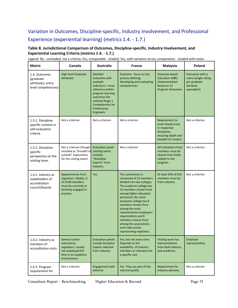# Variation in Outcomes, Discipline-specific, Industry Involvement, and Professional Experience (experiential learning) (metrics 1.4. - 1.7.)

#### <span id="page-19-0"></span>**Table 8. Jurisdictional Comparison of Outcomes, Discipline-specific, Industry Involvement, and Experiential Learning Criteria (metrics 1.4. - 1.7.)**

| <b>Metric</b>                                                            | Canada                                                                                                                       | Australia                                                                                                                                                                                            | <b>France</b>                                                                                                                                                                                                                                                                                                                                                                                             | Malaysia                                                                                                          | Poland                                                                               |
|--------------------------------------------------------------------------|------------------------------------------------------------------------------------------------------------------------------|------------------------------------------------------------------------------------------------------------------------------------------------------------------------------------------------------|-----------------------------------------------------------------------------------------------------------------------------------------------------------------------------------------------------------------------------------------------------------------------------------------------------------------------------------------------------------------------------------------------------------|-------------------------------------------------------------------------------------------------------------------|--------------------------------------------------------------------------------------|
| 1.4. Outcomes<br>(graduate<br>attributes; entry-<br>level competencies)  | <b>High level Graduate</b><br>attributes                                                                                     | <b>Detailed</b><br>outcomes with<br>example<br>indicators + must<br>reference within<br>program learning<br>outcomes the<br>national Stage 1<br>Competencies for<br>Professional<br><b>Engineers</b> | Outcome - focus on the<br>process defining,<br>developing and evaluating<br>competencies.                                                                                                                                                                                                                                                                                                                 | Outcome-based<br><b>Education (OBE)</b><br>implementation<br>based on 12<br><b>Program Outcomes</b>               | Outcomes with a<br>rubric (single rating<br>per graduate<br>attribute<br>equivalent) |
| 1.5.1. Discipline-<br>specific content in<br>self-evaluation<br>criteria | Not a criterion                                                                                                              | Not a criterion                                                                                                                                                                                      | Not a criterion                                                                                                                                                                                                                                                                                                                                                                                           | Requirement to<br>cover broad areas<br>in respective<br>disciplines,<br>ensuring depth and<br>breadth of content. | Not a criterion                                                                      |
| 1.5.2. Discipline-<br>specific<br>perspective on the<br>visiting team    | Not a criterion (though<br>included as "breadth of<br>outlook" expectation<br>for the visiting team)                         | <b>Evaluation panel</b><br>(visiting team)<br><i>includes</i><br>"Discipline<br>Experts" from<br>Industry.                                                                                           | Not a criterion                                                                                                                                                                                                                                                                                                                                                                                           | <b>All Evaluation Panel</b><br>members must be<br>chosen from fields<br>related to the<br>program.                | Not a criterion                                                                      |
| 1.6.1. Industry as<br>stakeholders of<br>accreditation<br>council/boards | Appointments from<br>regulators. Ideally, 1/3<br>of CEAB members<br>must be currently or<br>formerly engaged in<br>practice. | Yes.                                                                                                                                                                                                 | The commission is<br>composed of 32 members<br>divided into two colleges.<br>The academic college has<br>16 members chosen from<br>among higher education<br>personnel, the socio-<br>economic college has 8<br>members chosen from<br>among the most<br>representative employers'<br>organizations and 8<br>members chosen from<br>among the associations<br>and trade unions<br>representing engineers. | At least 50% of EAC<br>members must be<br>from industry.                                                          | Not a criterion                                                                      |
| 1.6.2. Industry as<br>members of<br>accreditation visits                 | General visitor<br>selected by<br>regulators, usually<br>not employed full-<br>time in an academic<br>environment.           | <b>Evaluation panels</b><br>include Discipline<br><b>Experts selected</b><br>from Industry.                                                                                                          | Yes, but not every time.<br>Depends on the<br>availability of industry<br>members or relevance for<br>a specific visit.                                                                                                                                                                                                                                                                                   | Visiting team has<br>representatives<br>from both industry<br>and academia.                                       | Employer<br>representative.                                                          |
| 1.6.3. Program<br>requirement for                                        | Not a criterion                                                                                                              | <b>Engagement with</b><br>external                                                                                                                                                                   | Yes. They are part of the<br>internal quality                                                                                                                                                                                                                                                                                                                                                             | Requirement for<br>industry advisory                                                                              | Not a criterion                                                                      |

Legend: No - unshaded, not a criteria; Yes, comparable - shaded; Yes, with variation across comparators - shaded with notes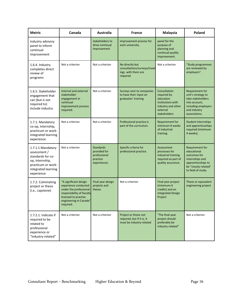| <b>Metric</b>                                                                                                                        | Canada                                                                                                                                                              | <b>Australia</b>                                                             | <b>France</b>                                                                   | Malaysia                                                                                                        | Poland                                                                                                                                |
|--------------------------------------------------------------------------------------------------------------------------------------|---------------------------------------------------------------------------------------------------------------------------------------------------------------------|------------------------------------------------------------------------------|---------------------------------------------------------------------------------|-----------------------------------------------------------------------------------------------------------------|---------------------------------------------------------------------------------------------------------------------------------------|
| industry advisory<br>panel to inform<br>continual<br>improvement                                                                     |                                                                                                                                                                     | stakeholders to<br>drive continual<br>improvement                            | improvement process for<br>each university.                                     | panel for the<br>purpose of<br>planning and<br>continual quality<br>improvement.                                |                                                                                                                                       |
| 1.6.4. Industry<br>completes direct<br>review of<br>programs                                                                         | Not a criterion                                                                                                                                                     | Not a criterion                                                              | No directly but<br>consultations/surveys/meet<br>ings with them are<br>required | Not a criterion                                                                                                 | "Study programmes<br>are reviewed by<br>employers".                                                                                   |
| 1.6.5. Stakeholder<br>engagement that<br>can (but is not<br>required to)<br>include industry                                         | Internal and external<br>stakeholder<br>engagement in<br>continual<br>improvement process<br>required.                                                              | Not a criterion                                                              | Surveys sent to companies<br>to have their input on<br>graduates' training      | Consultation<br>required by<br>education<br>institutions with<br>industry and other<br>external<br>stakeholders | Requirement for<br>unit's strategy to<br>take stakeholders<br>into account,<br>including employers<br>and industry<br>associations.   |
| 1.7.1. Mandatory<br>co-op, internship,<br>practicum or work-<br>integrated learning<br>experience                                    | Not a criterion                                                                                                                                                     | Not a criterion                                                              | Professional practice is<br>part of the curriculum.                             | Requirement for<br>minimum 8 weeks<br>of industrial<br>training.                                                | Student internships<br>and apprenticeships<br>required (minimum<br>4 weeks).                                                          |
| 1.7.1.1 Mandatory<br>assessment /<br>standards for co-<br>op, internship,<br>practicum or work-<br>integrated learning<br>experience | Not a criterion                                                                                                                                                     | <b>Standards</b><br>provided for<br>professional<br>practice<br>experiences. | Specific criteria for<br>professional practice.                                 | Assessment<br>processes for<br>industrial training<br>required as part of<br>quality assurance.                 | Requirement for<br>educational<br>outcomes for<br>internships and<br>apprenticeships to<br>be "closely related"<br>to field of study. |
| 1.7.2. Culminating<br>project or thesis<br>(i.e., capstone)                                                                          | "A significant design<br>experience conducted<br>under the professional<br>responsibility of faculty<br>licensed to practise<br>engineering in Canada"<br>required. | Final year design<br>projects and<br>theses                                  | Not a criterion                                                                 | Final year project<br>(minimum 6<br>credits) and an<br><b>Integrated Design</b><br>Project                      | Thesis or equivalent<br>engineering project                                                                                           |
| 1.7.2.1. Indicate if<br>required to be<br>related to<br>professional<br>experience or<br>"industry-related"                          | Not a criterion                                                                                                                                                     | Not a criterion                                                              | Project or thesis not<br>required, but if it is, it<br>must be industry-related | "The final-year<br>project should<br>preferably be<br>industry related"                                         | Not a criterion                                                                                                                       |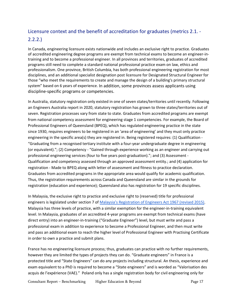# <span id="page-21-0"></span>Licensure context and the benefit of accreditation for graduates (metrics 2.1. - 2.2.2.)

In Canada, engineering licensure exists nationwide and includes an exclusive right to practice. Graduates of accredited engineering degree programs are exempt from technical exams to become an engineer-intraining and to become a professional engineer. In all provinces and territories, graduates of accredited programs still need to complete a standard national professional practice exam on law, ethics and professionalism. One province, British Columbia, has both professional engineering registration for most disciplines, and an additional specialist designation post licensure for Designated Structural Engineer for those "who meet the requirements to create and manage the design of a building's primary structural system" based on 6 years of experience. In addition, some provinces assess applicants using discipline-specific programs or competencies.

In Australia, statutory registration only existed in one of seven states/territories until recently. Following an Engineers Australia report in 2020, statutory registration has grown to three states/territories out of seven. Registration processes vary from state to state. Graduates from accredited programs are exempt from national competency assessment for engineering stage 1 competencies. For example, the Board of Professional Engineers of Queensland (BPEQ), which has regulated engineering practice in the state since 1930, requires engineers to be registered in an 'area of engineering' and they must only practice engineering in the specific area(s) they are registered in. Being registered requires: (1) Qualification - "Graduating from a recognised tertiary institute with a four-year undergraduate degree in engineering (or equivalent)."; (2) Competency - "Gained through experience working as an engineer and carrying out professional engineering services (four to five years post-graduation)."; and (3) Assessment - Qualification and competency assessed through an approved assessment entity.; and (4) application for registration - Made to BPEQ along with letter of assessment and fitness to practice declaration. Graduates from accredited programs in the appropriate area would qualify for academic qualification. Thus, the registration requirements across Canada and Queensland are similar in the grounds for registration (education and experience); Queensland also has registration for 19 specific disciplines.

In Malaysia, the exclusive right to practice and exclusive right to (reserved) title for professional engineers is legislated under section 7 o[f Malaysia's Registration of Engineers Act 1967 \(revised 2015\).](http://www.bem.org.my/web/guest/registration-of-engineers-act-1967-revised-2015-) Malaysia has three levels of practice, with a similar exemption for the engineer-in-training equivalent level. In Malaysia, graduates of an accredited 4-year programs are exempt from technical exams (have direct entry) into an engineer-in-training ("Graduate Engineer") level, but must write and pass a professional exam in addition to experience to become a Professional Engineer, and then must write and pass an additional exam to reach the higher level of Professional Engineer with Practising Certificate in order to own a practice and submit plans.

France has no engineering licensure process; thus, graduates can practice with no further requirements, however they are limited the types of projects they can do. "Graduate engineers" in France is a protected title and "State Engineers" can do any projects including structural. An thesis, experience and exam equivalent to a PhD is required to become a "State engineers" and is worded as "Valorisation des acquis de l'expérience (VAE)." Poland only has a single registration body for civil engineering only for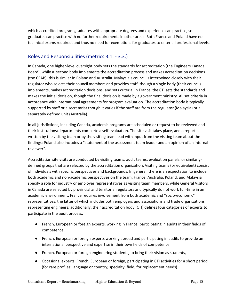which accredited program graduates with appropriate degrees and experience can practice, so graduates can practice with no further requirements in other areas. Both France and Poland have no technical exams required, and thus no need for exemptions for graduates to enter all professional levels.

#### <span id="page-22-0"></span>Roles and Responsibilities (metrics 3.1. - 3.3.)

In Canada, one higher-level oversight body sets the standards for accreditation (the Engineers Canada Board), while a second body implements the accreditation process and makes accreditation decisions (the CEAB); this is similar in Poland and Australia. Malaysia's council is intertwined closely with their regulator who selects their council members and provides staff; though a single body (their council) implements, makes accreditation decisions, and sets criteria. In France, the CTI sets the standards and makes the initial decision, though the final decision is made by a government ministry. All set criteria in accordance with international agreements for program evaluation. The accreditation body is typically supported by staff or a secretariat though it varies if the staff are from the regulator (Malaysia) or a separately defined unit (Australia).

In all jurisdictions, including Canada, academic programs are scheduled or request to be reviewed and their institutions/departments complete a self-evaluation. The site visit takes place, and a report is written by the visiting team or by the visiting team lead with input from the visiting team about the findings; Poland also includes a "statement of the assessment team leader and an opinion of an internal reviewer".

Accreditation site visits are conducted by visiting teams, audit teams, evaluation panels, or similarlydefined groups that are selected by the accreditation organization. Visiting teams (or equivalent) consist of individuals with specific perspectives and backgrounds. In general, there is an expectation to include both academic and non-academic perspectives on the team. France, Australia, Poland, and Malaysia specify a role for industry or employer representatives as visiting team members, while General Visitors in Canada are selected by provincial and territorial regulators and typically do not work full-time in an academic environment. France requires involvement from both academic and "socio-economic" representatives, the latter of which includes both employers and associations and trade organizations representing engineers: additionally, their accreditation body (CTI) defines four categories of experts to participate in the audit process:

- French, European or foreign experts, working in France, participating in audits in their fields of competence,
- French, European or foreign experts working abroad and participating in audits to provide an international perspective and expertise in their own fields of competence,
- French, European or foreign engineering students, to bring their vision as students,
- Occasional experts, French, European or foreign, participating in CTI activities for a short period (for rare profiles: language or country; specialty; field; for replacement needs)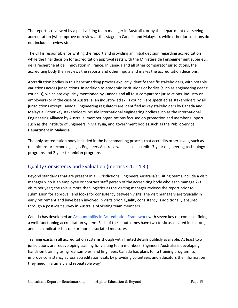The report is reviewed by a paid visiting team manager in Australia, or by the department overseeing accreditation (who approve or review at this stage) in Canada and Malaysia), while other jurisdictions do not include a review step.

The CTI is responsible for writing the report and providing an initial decision regarding accreditation while the final decision for accreditation approval rests with the Ministère de l'enseignement supérieur, de la recherche et de l'innovation in France. In Canada and all other comparator jurisdictions, the accrediting body then reviews the reports and other inputs and makes the accreditation decisions.

Accreditation bodies in this benchmarking process explicitly identify specific stakeholders, with notable variations across jurisdictions. In addition to academic institutions or bodies (such as engineering deans' councils), which are explicitly mentioned by Canada and all four comparator jurisdictions, industry or employers (or in the case of Australia, an industry-led skills council) are specified as stakeholders by all jurisdictions except Canada. Engineering regulators are identified as key stakeholders by Canada and Malaysia. Other key stakeholders include international engineering bodies such as the International Engineering Alliance by Australia, member organizations focused on promotion and member support such as the Institute of Engineers in Malaysia, and government bodies such as the Public Service Department in Malaysia.

The only accreditation body included in the benchmarking process that accredits other levels, such as technicians or technologists, is Engineers Australia which also accredits 3-year engineering technology programs and 2-year technician programs.

#### <span id="page-23-0"></span>Quality Consistency and Evaluation (metrics 4.1. - 4.3.)

Beyond standards that are present in all jurisdictions, Engineers Australia's visiting teams include a visit manager who is an employee or contract staff person of the accrediting body who each manage 2-3 visits per year; the role is more than logistics as the visiting manager reviews the report prior to submission for approval, and looks for consistency between visits. The visit managers are typically in early retirement and have been involved in visits prior. Quality consistency is additionally ensured through a post-visit survey in Australia of visiting team members.

Canada has developed a[n Accountability in Accreditation Framework](https://engineerscanada.ca/accreditation/accountability-in-accreditation/accountability-in-accreditation-evaluation-strategy) with seven key outcomes defining a well-functioning accreditation system. Each of these outcomes have two to six associated indicators, and each indicator has one or more associated measures.

Training exists in all accreditation systems though with limited details publicly available. At least two jurisdictions are redeveloping training for visiting team members. Engineers Australia is developing hands-on training using real samples, and Engineers Canada has plans for a training program [to] improve consistency across accreditation visits by providing volunteers and educators the information they need in a timely and repeatable way".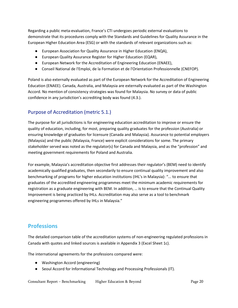Regarding a public meta-evaluation, France's CTI undergoes periodic external evaluations to demonstrate that its procedures comply with the Standards and Guidelines for Quality Assurance in the European Higher Education Area (ESG) or with the standards of relevant organizations such as:

- European Association for Quality Assurance in Higher Education (ENQA),
- European Quality Assurance Register for Higher Education (EQAR),
- European Network for the Accreditation of Engineering Education (ENAEE),
- Conseil National de l'Emploi, de la Formation et de l'Orientation Professionnelle (CNEFOP).

Poland is also externally evaluated as part of the European Network for the Accreditation of Engineering Education (ENAEE). Canada, Australia, and Malaysia are externally evaluated as part of the Washington Accord. No mention of consistency strategies was found for Malaysia. No survey or data of public confidence in any jurisdiction's accrediting body was found (4.3.).

#### <span id="page-24-0"></span>Purpose of Accreditation (metric 5.1.)

The purpose for all jurisdictions is for engineering education accreditation to improve or ensure the quality of education, including, for most, preparing quality graduates for the profession (Australia) or ensuring knowledge of graduates for licensure (Canada and Malaysia). Assurance to potential employers (Malaysia) and the public (Malaysia, France) were explicit considerations for some. The primary stakeholder served was noted as the regulator(s) for Canada and Malaysia, and as the "profession" and meeting government requirements for Poland and Australia.

For example, Malaysia's accreditation objective first addresses their regulator's (BEM) need to identify academically qualified graduates, then secondarily to ensure continual quality improvement and also benchmarking of programs for higher education institutions (IHL's in Malaysia): "... to ensure that graduates of the accredited engineering programmes meet the minimum academic requirements for registration as a graduate engineering with BEM. In addition, … is to ensure that the Continual Quality Improvement is being practiced by IHLs. Accreditation may also serve as a tool to benchmark engineering programmes offered by IHLs in Malaysia."

### <span id="page-24-1"></span>**Professions**

The detailed comparison table of the accreditation systems of non-engineering regulated professions in Canada with quotes and linked sources is available in Appendix 3 (Excel Sheet 1c).

The international agreements for the professions compared were:

- Washington Accord (engineering)
- Seoul Accord for Informational Technology and Processing Professionals (IT).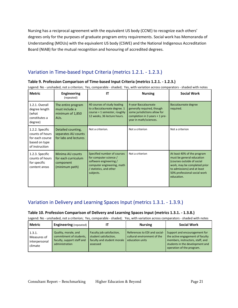Nursing has a reciprocal agreement with the equivalent US body (CCNE) to recognize each others' degrees only for the purposes of graduate program entry requirements. Social work has Memoranda of Understanding (MOUs) with the equivalent US body (CSWE) and the National Indigenous Accreditation Board (NIAB) for the mutual recognition and honouring of accredited degrees.

### <span id="page-25-0"></span>Variation in Time-based Input Criteria (metrics 1.2.1. - 1.2.3.)

#### <span id="page-25-1"></span>**Table 9. Profession Comparison of Time-based Input Criteria (metrics 1.2.1. - 1.2.3.)**

Legend: No - unshaded, not a criterion; Yes, comparable - shaded; Yes, with variation across comparators - shaded with notes

| <b>Metric</b>                                                                            | <b>Engineering</b><br>(repeated)                                              | IT                                                                                                                                                    | <b>Nursing</b>                                                                                                                                  | <b>Social Work</b>                                                                                                                                                                                  |
|------------------------------------------------------------------------------------------|-------------------------------------------------------------------------------|-------------------------------------------------------------------------------------------------------------------------------------------------------|-------------------------------------------------------------------------------------------------------------------------------------------------|-----------------------------------------------------------------------------------------------------------------------------------------------------------------------------------------------------|
| 1.2.1. Overall<br>degree length<br>(what<br>constitutes a<br>degree)                     | The entire program<br>must include a<br>minimum of 1,850<br>AU <sub>s</sub> . | 40 courses of study leading<br>to a Baccalaureate degree. 1<br>course = $1$ semester, roughly<br>12 weeks, 36 lecture hours.                          | 4-year Baccalaureate<br>generally required, though<br>some jurisdictions allow for<br>completion in 3 years $+1$ pre-<br>year in math/sciences. | Baccalaureate degree<br>required.                                                                                                                                                                   |
| 1.2.2. Specific<br>counts of hours<br>for each course<br>based on type<br>of instruction | Detailed counting,<br>separates AU counts<br>for labs and lectures            | Not a criterion.                                                                                                                                      | Not a criterion                                                                                                                                 | Not a criterion                                                                                                                                                                                     |
| 1.2.3. Specific<br>counts of hours<br>for specific<br>content areas                      | Minima AU counts<br>for each curriculum<br>component<br>(minimum path)        | Specified number of courses<br>for computer science /<br>software engineering /<br>computer engineering, math<br>/ statistics, and other<br>subjects. | Not a criterion                                                                                                                                 | At least 40% of the program<br>must be general education<br>(courses outside of social<br>work, may be completed prior<br>to admissions) and at least<br>50% professional social work<br>education. |

#### <span id="page-25-2"></span>Variation in Delivery and Learning Spaces Input (metrics 1.3.1. - 1.3.9.)

#### <span id="page-25-3"></span>**Table 10. Profession Comparison of Delivery and Learning Spaces Input (metrics 1.3.1. - 1.3.8.)**

| Metric                                            | <b>Engineering</b> (repeated)                                                                   |                                                                                              | <b>Nursing</b>                                                                  | <b>Social Work</b>                                                                                                                                                    |
|---------------------------------------------------|-------------------------------------------------------------------------------------------------|----------------------------------------------------------------------------------------------|---------------------------------------------------------------------------------|-----------------------------------------------------------------------------------------------------------------------------------------------------------------------|
| 1.3.1.<br>Measures of<br>interpersonal<br>climate | Quality, morale, and<br>commitment of students,<br>faculty, support staff and<br>administration | Faculty job satisfaction,<br>student satisfaction,<br>faculty and student morale<br>assessed | References to EDI and social-<br>cultural environment of the<br>education units | Support and encouragement for<br>the active engagement of faculty<br>members, instructors, staff, and<br>students in the development and<br>operation of the program. |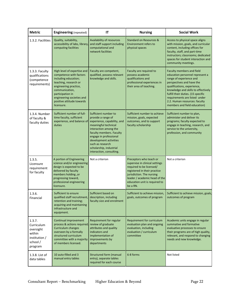| <b>Metric</b>                                                                       | <b>Engineering</b> (repeated)                                                                                                                                                                                                                  | IT                                                                                                                                                                                                                                                                                    | <b>Nursing</b>                                                                                                                                                                                                                   | <b>Social Work</b>                                                                                                                                                                                                                                                                                                                 |
|-------------------------------------------------------------------------------------|------------------------------------------------------------------------------------------------------------------------------------------------------------------------------------------------------------------------------------------------|---------------------------------------------------------------------------------------------------------------------------------------------------------------------------------------------------------------------------------------------------------------------------------------|----------------------------------------------------------------------------------------------------------------------------------------------------------------------------------------------------------------------------------|------------------------------------------------------------------------------------------------------------------------------------------------------------------------------------------------------------------------------------------------------------------------------------------------------------------------------------|
| 1.3.2. Facilities                                                                   | Quality, suitability,<br>accessibility of labs, library<br>computing facilities                                                                                                                                                                | Availability of resources<br>and staff support including<br>computational and<br>network facilities                                                                                                                                                                                   | Standard on Resources &<br><b>Environment refers to</b><br>physical spaces                                                                                                                                                       | Access to physical space aligns<br>with mission, goals, and curricular<br>content, including offices for<br>faculty, staff, and part-time<br>instructors; classrooms; dedicated<br>spaces for student interaction and<br>community meetings.                                                                                       |
| 1.3.3. Faculty<br>qualifications<br>(competence<br>requirements)                    | High level of expertise and<br>competence with factors<br>including education;<br>teaching, research or<br>engineering practice,<br>communication,<br>participation in<br>engineering societies and<br>positive attitude towards<br>licensure. | Faculty are competent,<br>qualified, possess relevant<br>knowledge and skills.                                                                                                                                                                                                        | Faculty are required to<br>possess academic<br>qualifications and<br>professional experiences in<br>their area of teaching.                                                                                                      | Faculty members and field<br>education personnel represent a<br>range of experience and<br>perspectives and have the<br>qualifications, experience,<br>knowledge and skills to effectively<br>fulfill their duties. (15 specific<br>requirements are listed under<br>2.2. Human resources: faculty<br>members and field education) |
| 1.3.4. Number<br>of faculty &<br>faculty duties                                     | Sufficient number of full-<br>time faculty, sufficient<br>experience, and balance of<br>duties                                                                                                                                                 | Sufficient number to<br>provide a range of<br>experience, capability, and<br>meaningful technical<br>interaction among the<br>faculty members. Faculty<br>engage in professional<br>development activities<br>such as research<br>scholarship, industrial<br>interaction, consulting. | Sufficient number to achieve<br>mission, goals, expected<br>outcomes, and to support<br>faculty scholarship                                                                                                                      | Sufficient number to plan,<br>administer and deliver its<br>programs; faculty expected to<br>engage in teaching, research, and<br>service to the university,<br>profession, and community                                                                                                                                          |
| 1.3.5.<br>Licensure<br>requirement<br>for faculty                                   | A portion of Engineering<br>science and/or engineering<br>design is expected to be<br>delivered by faculty<br>nembers holding, or<br>progressing toward,<br>professional engineering<br>licensure.                                             | Not a criterion                                                                                                                                                                                                                                                                       | Preceptors who teach or<br>supervise in clinical settings<br>required to be licensed/<br>registered in their practice<br>jurisdiction. The nursing<br>leader / academic head of the<br>education unit is required to<br>be a RN. | Not a criterion                                                                                                                                                                                                                                                                                                                    |
| 1.3.6.<br>Financial                                                                 | Sufficient to ensure<br>qualified staff recruitment,<br>retention and training;<br>acquiring and maintaining<br>infrastructure and<br>equipment.                                                                                               | Sufficient based on<br>description, including<br>faculty size and enrolment                                                                                                                                                                                                           | Sufficient to achieve mission,<br>goals, outcomes of program                                                                                                                                                                     | Sufficient to achieve mission, goals,<br>outcomes of program                                                                                                                                                                                                                                                                       |
| 1.3.7.<br>Curriculum<br>oversight<br>within<br>institution /<br>school /<br>program | Continual improvement<br>process & actions required<br>Curriculum changes<br>overseen by a formally<br>structured curriculum<br>committee with a majority<br>of members licensed.                                                              | Requirement for regular<br>review of graduate<br>attributes and quality<br>indicators and<br>implementation of<br>improvements by<br>departments                                                                                                                                      | Requirement for curriculum<br>evaluation plan and ongoing<br>evaluation, including<br>evaluation / curriculum<br>committee                                                                                                       | Academic units engage in regular<br>summative and formative<br>evaluative processes to ensure<br>their programs are of high quality,<br>relevant, and respond to changing<br>needs and new knowledge.                                                                                                                              |
| 1.3.8. List of<br>data tables                                                       | 10 auto-filled and 3<br>manual entry tables                                                                                                                                                                                                    | <b>Structured form (manual</b><br>entry), separate tables<br>required for each course                                                                                                                                                                                                 | 6-8 forms                                                                                                                                                                                                                        | Not listed                                                                                                                                                                                                                                                                                                                         |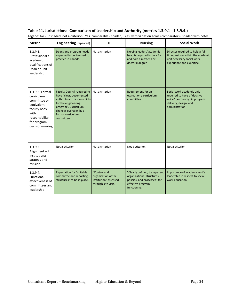| <b>Metric</b>                                                                                                                           | <b>Engineering (repeated)</b>                                                                                                                                                                            | IT                                                                                  | <b>Nursing</b>                                                                                                                   | <b>Social Work</b>                                                                                                                    |
|-----------------------------------------------------------------------------------------------------------------------------------------|----------------------------------------------------------------------------------------------------------------------------------------------------------------------------------------------------------|-------------------------------------------------------------------------------------|----------------------------------------------------------------------------------------------------------------------------------|---------------------------------------------------------------------------------------------------------------------------------------|
| 1.3.9.1.<br>Professional /<br>academic<br>qualifications of<br>Dean or unit<br>leadership                                               | Deans and program heads<br>expected to be licensed to<br>practice in Canada.                                                                                                                             | Not a criterion                                                                     | Nursing leader / academic<br>head is required to be a RN<br>and hold a master's or<br>doctoral degree                            | Director required to hold a full-<br>time position within the academic<br>unit necessary social work<br>experience and expertise.     |
| 1.3.9.2. Formal<br>curriculum<br>committee or<br>equivalent<br>faculty body<br>with<br>responsibility<br>for program<br>decision-making | <b>Faculty Council required to</b><br>have "clear, documented<br>authority and responsibility<br>for the engineering<br>program". Curriculum<br>changes overseen by a<br>formal curriculum<br>committee. | Not a criterion                                                                     | Requirement for an<br>evaluation / curriculum<br>committee                                                                       | Social work academic unit<br>required to have a "decisive<br>voice" (autonomy) in program<br>delivery, design, and<br>administration. |
| 1.3.9.3.<br>Alignment with<br>institutional<br>strategy and<br>mission                                                                  | Not a criterion                                                                                                                                                                                          | Not a criterion                                                                     | Not a criterion                                                                                                                  | Not a criterion                                                                                                                       |
| 1.3.9.4.<br>Functional<br>effectiveness of<br>committees and<br>leadership                                                              | <b>Expectation for "suitable</b><br>committee and reporting<br>structures" to be in place.                                                                                                               | "Control and<br>organization of the<br>institution" assessed<br>through site visit. | "Clearly defined, transparent<br>organizational structures,<br>policies, and processes" for<br>effective program<br>functioning. | Importance of academic unit's<br>leadership in respect to social<br>work education.                                                   |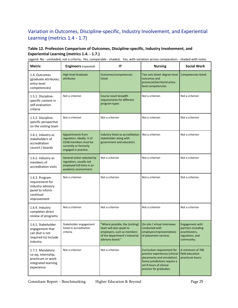### <span id="page-29-0"></span>Variation in Outcomes, Discipline-specific, Industry Involvement, and Experiential Learning (metrics 1.4 - 1.7)

#### <span id="page-29-1"></span>**Table 12. Profession Comparison of Outcomes, Discipline-specific, Industry Involvement, and Experiential Learning (metrics 1.4. - 1.7.)**

**Metric Engineers**(repeated) **IT Nursing Social Work** 1.4. Outcomes (graduate attributes; entry-level competencies) High level Graduate attributes Outcomes/competencies listed. Two sets listed: degree-level outcomes and provincial/territorial entrylevel competencies. Competencies listed. 1.5.1. Disciplinespecific content in self-evaluation criteria Not a criterion **Course count breadth** requirements for different program types Not a criterion Not a criterion 1.5.2. Disciplinespecific perspective on the visiting team Not a criterion Not a criterion Not a criterion Not a criterion Not a criterion Not a criterion 1.6.1. Industry as stakeholders of accreditation council / boards Appointments from regulators. Ideally, ⅓ of CEAB members must be currently or formerly engaged in practice. Industry listed as accreditation stakeholder along with government and educators Not a criterion Not a criterion 1.6.2. Industry as members of accreditation visits General visitor selected by regulators, usually not employed full-time in an academic environment. Not a criterion Not a criterion Not a criterion 1.6.3. Program requirement for industry advisory panel to inform continual improvement Not a criterion Not a criterion Not a criterion Not a criterion Not a criterion 1.6.4. Industry completes direct review of programs Not a criterion Not a criterion Not a criterion Not a criterion Not a criterion Not a criterion 1.6.5. Stakeholder engagement that can (but is not required to) include industry Stakeholder engagement listed in accreditation criteria. "Where possible, the [visiting] team will also speak to employers, such as members of the department's industrial advisory board." On-site / virtual interviews conducted with employers/representatives of placement services Engagement with partners including practitioners, regulators, and community. 1.7.1. Mandatory co-op, internship, practicum or workintegrated learning experience Not a criterion Not a criterion Not a criterion Curriculum requirement for practice experiences (clinical placements and simulation). Some jurisdictions require a set # hours of clinical practice for graduates. A minimum of 700 field education practicum hours.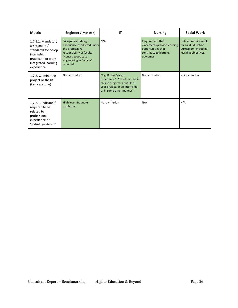| <b>Metric</b>                                                                                                                        | <b>Engineers</b> (repeated)                                                                                                                                         | IΤ                                                                                                                                                     | <b>Nursing</b>                                                                                               | <b>Social Work</b>                                                                           |
|--------------------------------------------------------------------------------------------------------------------------------------|---------------------------------------------------------------------------------------------------------------------------------------------------------------------|--------------------------------------------------------------------------------------------------------------------------------------------------------|--------------------------------------------------------------------------------------------------------------|----------------------------------------------------------------------------------------------|
| 1.7.1.1. Mandatory<br>assessment /<br>standards for co-op,<br>internship,<br>practicum or work-<br>integrated learning<br>experience | "A significant design<br>experience conducted under<br>the professional<br>responsibility of faculty<br>licensed to practise<br>engineering in Canada"<br>required. | N/A                                                                                                                                                    | Requirement that<br>placements provide learning<br>opportunities that<br>contribute to learning<br>outcomes. | Defined requirements<br>for Field Education<br>Curriculum, including<br>learning objectives. |
| 1.7.2. Culminating<br>project or thesis<br>(i.e., capstone)                                                                          | Not a criterion                                                                                                                                                     | "Significant Design<br>Experience" - "whether it be in<br>course projects, a final 4th-<br>year project, or an internship<br>or in some other manner". | Not a criterion                                                                                              | Not a criterion                                                                              |
| 1.7.2.1. Indicate if<br>required to be<br>related to<br>professional<br>experience or<br>"industry-related"                          | <b>High level Graduate</b><br>attributes.                                                                                                                           | Not a criterion                                                                                                                                        | N/A                                                                                                          | N/A                                                                                          |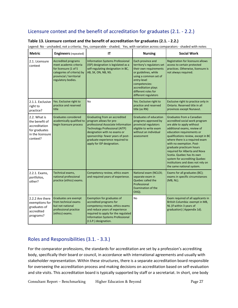### <span id="page-31-0"></span>Licensure context and the benefit of accreditation for graduates (2.1. - 2.2.)

| <b>Metric</b>                                                                                    | <b>Engineers</b> (repeated)                                                                                                                                   | IT                                                                                                                                                                                                                                                                            | <b>Nursing</b>                                                                                                                                                                                                                   | <b>Social Work</b>                                                                                                                                                                                                                                                                                                                                                                                                                                      |
|--------------------------------------------------------------------------------------------------|---------------------------------------------------------------------------------------------------------------------------------------------------------------|-------------------------------------------------------------------------------------------------------------------------------------------------------------------------------------------------------------------------------------------------------------------------------|----------------------------------------------------------------------------------------------------------------------------------------------------------------------------------------------------------------------------------|---------------------------------------------------------------------------------------------------------------------------------------------------------------------------------------------------------------------------------------------------------------------------------------------------------------------------------------------------------------------------------------------------------------------------------------------------------|
| 2.1. Licensure<br>context                                                                        | <b>Accredited programs</b><br>meet academic criteria<br>for licensure (1 of 5<br>categories of criteria) by<br>provincial / territorial<br>regulatory bodies. | Information Systems Professional<br>(ISP) designation is legislated as a<br>self-regulating designation in BC,<br>AB, SK, ON, NB, NS.                                                                                                                                         | Each province and<br>territory's regulators set<br>their own requirements<br>or guidelines, while<br>using a common set of<br>entry-level<br>competencies:<br>accreditation plays<br>different roles for<br>different regulators | Registration for licensure allows<br>access to certain protected<br>practices. Otherwise, licensure is<br>not always required.                                                                                                                                                                                                                                                                                                                          |
| 2.1.1. Exclusive<br>right to<br>practice?                                                        | Yes. Exclusive right to<br>practice and reserved<br>title                                                                                                     | N <sub>o</sub>                                                                                                                                                                                                                                                                | Yes. Exclusive right to<br>practice and reserved<br>title (as RN)                                                                                                                                                                | Exclusive right to practice only in<br>Ontario. Reserved title in all<br>provinces except Nunavut.                                                                                                                                                                                                                                                                                                                                                      |
| 2.2. What is<br>the benefit of<br>accreditation<br>for graduates<br>in the licensure<br>context? | Graduates considered<br>academically qualified to<br>begin licensure process                                                                                  | Graduating from an accredited<br>program allows for pre-<br>professional Associate Information<br><b>Technology Professional (AITP)</b><br>designation with no exams or<br>sponsorship: fewer years of post-<br>graduate experience required to<br>apply for ISP designation. | <b>Graduates of education</b><br>programs approved by<br>provincial regulators<br>eligible to write exam<br>without an individual<br>assessment                                                                                  | Graduates from a Canadian<br>accredited social work program<br>are able to apply without<br>additional exams, review of<br>education requirements or<br>qualifications review, except in BC<br>where there is a required exam<br>with no exemption. Post-<br>graduate practicum hours<br>required for Alberta and Nova<br>Scotia. Quebec has its own<br>system for accrediting Quebec<br>institutions and does not rely on<br>the same national system. |
| 2.2.1. Exams,<br>portfolios,<br>other?                                                           | Technical exams,<br>national professional<br>practice (ethics) exams.                                                                                         | Competency review, ethics exam<br>and required years of experience.                                                                                                                                                                                                           | National exam (NCLEX;<br>separate exam in<br>Quebec called the<br>Professional<br><b>Examination of the</b><br>OIIQ).                                                                                                            | Exams for all graduates (BC);<br>exams in specific circumstances<br>(MB, NL).                                                                                                                                                                                                                                                                                                                                                                           |
| 2.2.2 Are there<br>exemptions for<br>graduates of<br>accredited<br>programs?                     | Graduates are exempt<br>from technical exams<br>but not national<br>professional practice<br>(ethics) exams.                                                  | Exemption for graduates of<br>accredited programs for<br>competency review, ethics exams<br>and reduce years of experience<br>required to apply for the regulated<br><b>Information Systems Professional</b><br>(I.S.P.) designation.                                         | No                                                                                                                                                                                                                               | Exam required of all applicants in<br>British Columbia: exempt in MB,<br>NL (if within 3 years of<br>graduation) (Appendix 1d).                                                                                                                                                                                                                                                                                                                         |

#### <span id="page-31-1"></span>**Table 13. Licensure context and the benefit of accreditation for graduates (2.1. - 2.2.)**

Legend: No - unshaded, not a criteria; Yes, comparable - shaded; Yes, with variation across comparators - shaded with notes

### <span id="page-31-2"></span>Roles and Responsibilities (3.1. - 3.3.)

For the comparator professions, the standards for accreditation are set by a profession's accrediting body, specifically their board or council, in accordance with international agreements and usually with stakeholder representation. Within these structures, there is a separate accreditation board responsible for overseeing the accreditation process and making decisions on accreditation based on self-evaluation and site visits. This accreditation board is typically supported by staff or a secretariat. In short, one body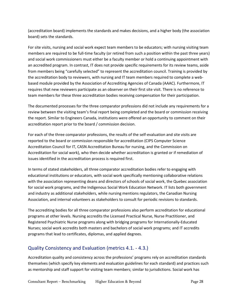(accreditation board) implements the standards and makes decisions, and a higher body (the association board) sets the standards.

For site visits, nursing and social work expect team members to be educators; with nursing visiting team members are required to be full-time faculty (or retired from such a position within the past three years) and social work commissioners must either be a faculty member or hold a continuing appointment with an accredited program. In contrast, IT does not provide specific requirements for its review teams, aside from members being "carefully selected" to represent the accreditation council. Training is provided by the accreditation body to reviewers, with nursing and IT team members required to complete a webbased module provided by the Association of Accrediting Agencies of Canada (AAAC). Furthermore, IT requires that new reviewers participate as an observer on their first site visit. There is no reference to team members for these three accreditation bodies receiving compensation for their participation.

The documented processes for the three comparator professions did not include any requirements for a review between the visiting team's final report being completed and the board or commission receiving the report. Similar to Engineers Canada, institutions were offered an opportunity to comment on their accreditation report prior to the board / commission decision.

For each of the three comparator professions, the results of the self-evaluation and site visits are reported to the board or commission responsible for accreditation (CIPS Computer Science Accreditation Council for IT, CASN Accreditation Bureau for nursing, and the Commission on Accreditation for social work), who then decide whether accreditation is granted or if remediation of issues identified in the accreditation process is required first.

In terms of stated stakeholders, all three comparator accreditation bodies refer to engaging with educational institutions or educators, with social work specifically mentioning collaborative relations with the association representing deans and directors of schools of social work, the Quebec association for social work programs, and the Indigenous Social Work Education Network. IT lists both government and industry as additional stakeholders, while nursing mentions regulators, the Canadian Nursing Association, and internal volunteers as stakeholders to consult for periodic revisions to standards.

The accrediting bodies for all three comparator professions also perform accreditation for educational programs at other levels. Nursing accredits the Licensed Practical Nurse, Nurse Practitioner, and Registered Psychiatric Nurse programs along with bridging programs for Internationally-Educated Nurses; social work accredits both masters and bachelors of social work programs; and IT accredits programs that lead to certificates, diplomas, and applied degrees.

#### <span id="page-32-0"></span>Quality Consistency and Evaluation (metrics 4.1. - 4.3.)

Accreditation quality and consistency across the professions' programs rely on accreditation standards themselves (which specify key elements and evaluation guidelines for each standard) and practices such as mentorship and staff support for visiting team members; similar to jurisdictions. Social work has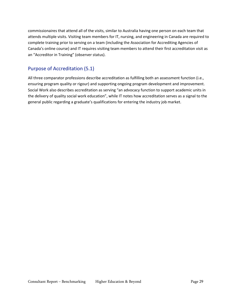commissionaires that attend all of the visits, similar to Australia having one person on each team that attends multiple visits. Visiting team members for IT, nursing, and engineering in Canada are required to complete training prior to serving on a team (including the Association for Accrediting Agencies of Canada's online course) and IT requires visiting team members to attend their first accreditation visit as an "Accreditor in Training" (observer status).

#### <span id="page-33-0"></span>Purpose of Accreditation (5.1)

All three comparator professions describe accreditation as fulfilling both an assessment function (i.e., ensuring program quality or rigour) and supporting ongoing program development and improvement. Social Work also describes accreditation as serving "an advocacy function to support academic units in the delivery of quality social work education", while IT notes how accreditation serves as a signal to the general public regarding a graduate's qualifications for entering the industry job market.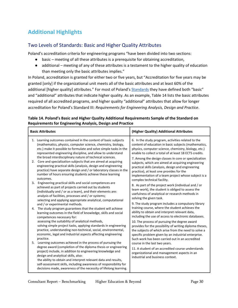# <span id="page-34-0"></span>**Additional Highlights**

#### <span id="page-34-1"></span>Two Levels of Standards: Basic and Higher Quality Attributes

Poland's accreditation criteria for engineering programs "have been divided into two sections:

- basic meeting of all these attributes is a prerequisite for obtaining accreditation,
- additional meeting of any of these attributes is a testament to the higher quality of education than meeting only the basic attributes implies."

In Poland, accreditation is granted for either two or five years, but "Accreditation for five years may be granted [only] if the organizational unit meets all of the basic attributes and at least 60% of the additional [higher quality] attributes." For most of Poland's **Standards** they have defined both "basic" and "additional" attributes that indicate higher quality. As an example, Table 14 lists the basic attributes required of all accredited programs, and higher quality "additional" attributes that allow for longer accreditation for Poland's Standard III: *Requirements for Engineering Analysis, Design and Practice*.

| <b>Basic Attributes</b>                                                                                                                                                                                                                                                                                                                                                                                                                                                                                                                                                                                                                                                                                                                                                                                                                                                                                                                                                                                                                                                                                                               | (Higher Quality) Additional Attributes                                                                                                                                                                                                                                                                     |
|---------------------------------------------------------------------------------------------------------------------------------------------------------------------------------------------------------------------------------------------------------------------------------------------------------------------------------------------------------------------------------------------------------------------------------------------------------------------------------------------------------------------------------------------------------------------------------------------------------------------------------------------------------------------------------------------------------------------------------------------------------------------------------------------------------------------------------------------------------------------------------------------------------------------------------------------------------------------------------------------------------------------------------------------------------------------------------------------------------------------------------------|------------------------------------------------------------------------------------------------------------------------------------------------------------------------------------------------------------------------------------------------------------------------------------------------------------|
| 1. Learning outcomes contained in the content of basic subjects<br>(mathematics, physics, computer science, chemistry, biology,<br>etc.) make it possible to formulate and solve simple tasks in the<br>represented engineering discipline, and allow to understand<br>the broad interdisciplinary nature of technical sciences.                                                                                                                                                                                                                                                                                                                                                                                                                                                                                                                                                                                                                                                                                                                                                                                                      | 6. In the study program, activities related to the<br>content of education in basic subjects (mathematics,<br>physics, computer science, chemistry, biology, etc.)<br>enable to collect a total of at least 18 ECTS credits.<br>7. Among the design classes in core or specialization                      |
| 2. Core and specialization subjects that are aimed at acquiring<br>engineering practical skills (analysis, design and engineering<br>practice) have separate design and / or laboratory classes in the<br>number of hours ensuring students achieve these learning<br>outcomes.<br>3. Engineering practical skills and social competences are<br>achieved as part of projects carried out by students<br>(individually and / or as a team), and their elements are:<br>analysis of facilities, processes and / or systems;<br>selecting and applying appropriate analytical, computational<br>and / or experimental methods.<br>The study program guarantees that the student will achieve<br>4.<br>learning outcomes in the field of knowledge, skills and social<br>competences necessary for:<br>assessing the suitability of analytical methods,<br>solving simple project tasks, applying standards in engineering<br>practice, understanding non-technical, social, environmental,<br>economic, legal and industrial aspects affecting engineering<br>practice.<br>5. Learning outcomes achieved in the process of pursuing the | subjects, which are aimed at acquiring engineering<br>practical skills (analysis, design and engineering<br>practice), at least one provides for the<br>implementation of a team project whose subject is a<br>complex technical facility.                                                                 |
|                                                                                                                                                                                                                                                                                                                                                                                                                                                                                                                                                                                                                                                                                                                                                                                                                                                                                                                                                                                                                                                                                                                                       | 8. As part of the project work (individual and / or<br>team work), the student is obliged to assess the<br>usefulness of analytical or research methods in<br>solving the given task.                                                                                                                      |
|                                                                                                                                                                                                                                                                                                                                                                                                                                                                                                                                                                                                                                                                                                                                                                                                                                                                                                                                                                                                                                                                                                                                       | 9. The study program includes a compulsory library<br>training course, where the student achieves the<br>ability to obtain and interpret relevant data,<br>including the use of access to electronic databases.                                                                                            |
|                                                                                                                                                                                                                                                                                                                                                                                                                                                                                                                                                                                                                                                                                                                                                                                                                                                                                                                                                                                                                                                                                                                                       | 10. The process of pursuing the degree award<br>provides for the possibility of writing diploma theses,<br>the subjects of which arise from the need to solve a<br>specific problem given by an industrial enterprise.<br>Such work has been carried out in an accredited<br>course in the last two years. |
| degree award (completion of the diploma thesis or engineering<br>project) include, in addition to engineering knowledge and<br>design and analytical skills, also:<br>the ability to obtain and interpret relevant data and results,<br>self-assessment skills, including awareness of responsibility for<br>decisions made, awareness of the necessity of lifelong learning.                                                                                                                                                                                                                                                                                                                                                                                                                                                                                                                                                                                                                                                                                                                                                         | 11. A student of an accredited course understands<br>organizational and management aspects in an<br>industrial and business context.                                                                                                                                                                       |

#### <span id="page-34-2"></span>**Table 14. Poland's Basic and Higher Quality Additional Requirements Sample of the Standard on Requirements for Engineering Analysis, Design and Practice**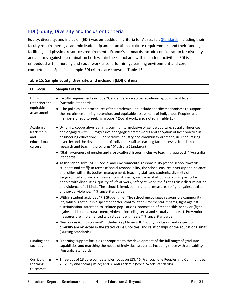### <span id="page-35-0"></span>EDI (Equity, Diversity and Inclusion) Criteria

Equity, diversity, and inclusion (EDI) was embedded in criteria for Australia'[s Standards](https://www.engineersaustralia.org.au/sites/default/files/2019-08/AMS-STD-10_Accreditation_Standard-Higher_Education_v1.0.pdf) including their faculty requirements, academic leadership and educational culture requirements, and their funding, facilities, and physical resources requirements. France's standards include consideration for diversity and actions against discrimination both within the school and within student activities. EDI is also embedded within nursing and social work criteria for hiring, learning environment and core competencies. Specific example EDI criteria are shown in Table 15.

| <b>EDI Focus</b>                                        | Sample Criteria                                                                                                                                                                                                                                                                                                                                                                                                                                                                                                                                                                                                                                                 |
|---------------------------------------------------------|-----------------------------------------------------------------------------------------------------------------------------------------------------------------------------------------------------------------------------------------------------------------------------------------------------------------------------------------------------------------------------------------------------------------------------------------------------------------------------------------------------------------------------------------------------------------------------------------------------------------------------------------------------------------|
| Hiring,<br>retention and<br>equitable<br>assessment     | • Faculty requirements include "Gender balance across academic appointment levels"<br>(Australia Standards)<br>• "The policies and procedures of the academic unit include specific mechanisms to support<br>the recruitment, hiring, retention, and equitable assessment of Indigenous Peoples and<br>members of equity-seeking groups." (Social work; also noted in Table 16)                                                                                                                                                                                                                                                                                 |
| Academic<br>leadership<br>and<br>educational<br>culture | · Dynamic, cooperative learning community, inclusive of gender, culture, social differences;<br>and engaged with: i. Progressive pedagogical frameworks and adoption of best practice in<br>engineering education; ii. Cooperative industry and community outreach; iii. Encouraging<br>diversity and the development of individual staff as learning facilitators; iv. Interlinked<br>research and teaching programs" (Australia Standards)<br>• "Staff awareness of gender and cross-cultural issues, inclusive teaching approach" (Australia<br>Standards)                                                                                                   |
|                                                         | • At the school level "A.2.1 Social and environmental responsibility [of the school towards<br>students and staff]: In terms of social responsibility, the school ensures diversity and balance<br>of profiles within its bodies, management, teaching staff and students, diversity of<br>geographical and social origins among students, inclusion of all publics and in particular<br>people with disabilities, quality of life at work, safety at work, the fight against discrimination<br>and violence of all kinds. The school is involved in national measures to fight against sexist<br>and sexual violence" (France Standards)                       |
|                                                         | • Within student activities "F.2 Student life: The school encourages responsible community<br>life, which is set out in a specific charter: control of environmental impacts, fight against<br>discrimination, attention to isolated populations, promotion of responsible behavior (fight<br>against addictions, harassment, violence including sexist and sexual violence). Prevention<br>measures are implemented with student engineers." (France Standards)<br>• "Resources & Environment" includes Key Element 8: "Equity, inclusion and respect of<br>diversity are reflected in the stated values, policies, and relationships of the educational unit" |
|                                                         | (Nursing Standards)                                                                                                                                                                                                                                                                                                                                                                                                                                                                                                                                                                                                                                             |
| Funding and<br>facilities                               | • "Learning support facilities appropriate to the development of the full range of graduate<br>capabilities and matching the needs of individual students, including those with a disability"<br>(Australia Standards)                                                                                                                                                                                                                                                                                                                                                                                                                                          |
| Curriculum &<br>Learning<br>Outcomes                    | • Three out of 13 core competencies focus on EDI: "6. Francophone Peoples and Communities;<br>7. Equity and social justice; and 8. Anti-racism." (Social Work Standards)                                                                                                                                                                                                                                                                                                                                                                                                                                                                                        |

<span id="page-35-1"></span>**Table 15. Sample Equity, Diversity, and inclusion (EDI) Criteria**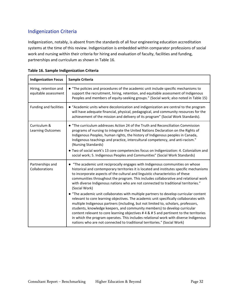### <span id="page-36-0"></span>Indigenization Criteria

Indigenization, notably, is absent from the standards of all four engineering education accreditation systems at the time of this review. Indigenization is embedded within comparator professions of social work and nursing within their criteria for hiring and evaluation of faculty, facilities and funding, partnerships and curriculum as shown in Table 16.

<span id="page-36-2"></span>

| <b>Indigenization Focus</b>                   | Sample Criteria                                                                                                                                                                                                                                                                                                                                                                                                                                                                                                                                                                                                  |
|-----------------------------------------------|------------------------------------------------------------------------------------------------------------------------------------------------------------------------------------------------------------------------------------------------------------------------------------------------------------------------------------------------------------------------------------------------------------------------------------------------------------------------------------------------------------------------------------------------------------------------------------------------------------------|
| Hiring, retention and<br>equitable assessment | • "The policies and procedures of the academic unit include specific mechanisms to<br>support the recruitment, hiring, retention, and equitable assessment of Indigenous<br>Peoples and members of equity-seeking groups." (Social work; also noted in Table 15)                                                                                                                                                                                                                                                                                                                                                 |
| Funding and facilities                        | • "Academic units where decolonization and indigenization are central to the program<br>will have adequate financial, physical, pedagogical, and community resources for the<br>achievement of the mission and delivery of its program" (Social Work Standards).                                                                                                                                                                                                                                                                                                                                                 |
| Curriculum &<br><b>Learning Outcomes</b>      | • "The curriculum addresses Action 24 of the Truth and Reconciliation Commission<br>programs of nursing to integrate the United Nations Declaration on the Rights of<br>Indigenous Peoples, human rights, the history of Indigenous peoples in Canada,<br>Indigenous teachings and practice, intercultural competency, and anti-racism."<br>(Nursing Standards)<br>• Two of social work's 13 core competencies focus on Indigenization: 4. Colonialism and                                                                                                                                                       |
|                                               | social work; 5. Indigenous Peoples and Communities" (Social Work Standards)                                                                                                                                                                                                                                                                                                                                                                                                                                                                                                                                      |
| Partnerships and<br>Collaborations            | • "The academic unit reciprocally engages with Indigenous communities on whose<br>historical and contemporary territories it is located and institutes specific mechanisms<br>to incorporate aspects of the cultural and linguistic characteristics of these<br>communities throughout the program. This includes collaborative and relational work<br>with diverse Indigenous nations who are not connected to traditional territories."<br>(Social Work)                                                                                                                                                       |
|                                               | • "The academic unit collaborates with multiple partners to develop curricular content<br>relevant to core learning objectives. The academic unit specifically collaborates with<br>multiple Indigenous partners (including, but not limited to, scholars, professors,<br>students, knowledge keepers, and community members) to develop curricular<br>content relevant to core learning objectives #4 & #5 and pertinent to the territories<br>in which the program operates. This includes relational work with diverse Indigenous<br>nations who are not connected to traditional territories." (Social Work) |

<span id="page-36-1"></span>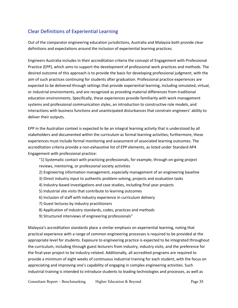#### Clear Definitions of Experiential Learning

Out of the comparator engineering education jurisdictions, Australia and Malaysia both provide clear definitions and expectations around the inclusion of experiential learning practices.

Engineers Australia includes in their accreditation criteria the concept of Engagement with Professional Practice (EPP), which aims to support the development of professional work practices and methods. The desired outcome of this approach is to provide the basis for developing professional judgment, with the aim of such practices continuing for students after graduation. Professional practice experiences are expected to be delivered through settings that provide experiential learning, including simulated, virtual, or industrial environments, and are recognized as providing material differences from traditional education environments. Specifically, these experiences provide familiarity with work management systems and professional communication styles, an introduction to constructive role models, and interactions with business functions and unanticipated disturbances that constrain engineers' ability to deliver their outputs.

EPP in the Australian context is expected to be an integral learning activity that is understood by all stakeholders and documented within the curriculum as formal learning activities; furthermore, these experiences must include formal monitoring and assessment of associated learning outcomes. The accreditation criteria provide a non-exhaustive list of EPP elements, as listed under Standard AP4 Engagement with professional practice:

"1) Systematic contact with practicing professionals, for example, through on-going project reviews, mentoring, or professional society activities

- 2) Engineering information management, especially management of an engineering baseline
- 3) Direct industry input to authentic problem-solving, projects and evaluation tasks
- 4) Industry-based investigations and case studies, including final year projects
- 5) Industrial site visits that contribute to learning outcomes
- 6) Inclusion of staff with industry experience in curriculum delivery
- 7) Guest lectures by industry practitioners
- 8) Application of industry standards, codes, practices and methods
- 9) Structured interviews of engineering professionals"

Malaysia's accreditation standards place a similar emphasis on experiential learning, noting that practical experience with a range of common engineering processes is required to be provided at the appropriate level for students. Exposure to engineering practice is expected to be integrated throughout the curriculum, including through guest lecturers from industry, industry visits, and the preference for the final-year project to be industry-related. Additionally, all accredited programs are required to provide a minimum of eight weeks of continuous industrial training for each student, with the focus on appreciating and improving one's capability of engaging in complex engineering activities. Such industrial training is intended to introduce students to leading technologies and processes, as well as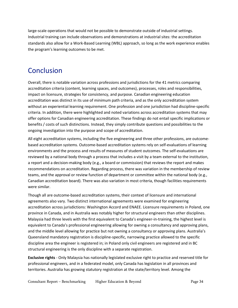large-scale operations that would not be possible to demonstrate outside of industrial settings. Industrial training can include observations and demonstrations at industrial sites: the accreditation standards also allow for a Work-Based Learning (WBL) approach, so long as the work experience enables the program's learning outcomes to be met.

# Conclusion

Overall, there is notable variation across professions and jurisdictions for the 41 metrics comparing accreditation criteria (content, learning spaces, and outcomes), processes, roles and responsibilities, impact on licensure, strategies for consistency, and purpose. Canadian engineering education accreditation was distinct in its use of minimum path criteria, and as the only accreditation system without an experiential learning requirement. One profession and one jurisdiction had discipline-specific criteria. In addition, there were highlighted and noted variations across accreditation systems that may offer options for Canadian engineering accreditation. These findings do not entail specific implications or benefits / costs of such distinctions. Instead, they simply contribute questions and possibilities to the ongoing investigation into the purpose and scope of accreditation.

All eight accreditation systems, including the five engineering and three other professions, are outcomebased accreditation systems. Outcome-based accreditation systems rely on self-evaluations of learning environments and the process and results of measures of student outcomes. The self-evaluations are reviewed by a national body through a process that includes a visit by a team external to the institution, a report and a decision-making body (e.g., a board or commission) that reviews the report and makes recommendations on accreditation. Regarding process, there was variation in the membership of review teams, and the approval or review function of department or committee within the national body (e.g., Canadian accreditation board). There was also variation in most criteria, though facilities requirements were similar.

Though all are outcome-based accreditation systems, their context of licensure and international agreements also vary. Two distinct international agreements were examined for engineering accreditation across jurisdictions: Washington Accord and ENAEE. Licensure requirements in Poland, one province in Canada, and in Australia was notably higher for structural engineers than other disciplines. Malaysia had three levels with the first equivalent to Canada's engineer-in-training, the highest level is equivalent to Canada's professional engineering allowing for owning a consultancy and approving plans, and the middle level allowing for practice but not owning a consultancy or approving plans. Australia's Queensland mandatory registration is discipline-specific, narrowing practice allowed to the specific discipline area the engineer is registered in; in Poland only civil engineers are registered and in BC structural engineering is the only discipline with a separate registration.

**Exclusive rights** - Only Malaysia has nationally legislated exclusive right to practice and reserved title for professional engineers, and in a federated model, only Canada has legislation in all provinces and territories. Australia has growing statutory registration at the state/territory level. Among the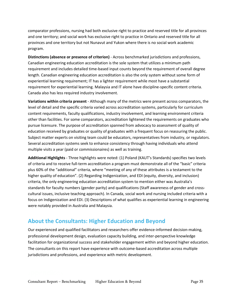comparator professions, nursing had both exclusive right to practice and reserved title for all provinces and one territory; and social work has exclusive right to practice in Ontario and reserved title for all provinces and one territory but not Nunavut and Yukon where there is no social work academic program.

**Distinctions (absence or presence of criterion)** - Across benchmarked jurisdictions and professions, Canadian engineering education accreditation is the sole system that utilizes a minimum path requirement and includes detailed time-based input counts beyond the requirement of overall degree length. Canadian engineering education accreditation is also the only system without some form of experiential learning requirement; IT has a lighter requirement while most have a substantial requirement for experiential learning. Malaysia and IT alone have discipline-specific content criteria. Canada also has less required industry involvement.

**Variations within criteria present** - Although many of the metrics were present across comparators, the level of detail and the specific criteria varied across accreditation systems, particularly for curriculum content requirements, faculty qualifications, industry involvement, and learning environment criteria other than facilities. For some comparators, accreditation lightened the requirements on graduates who pursue licensure. The purpose of accreditation spanned from advocacy to assessment of quality of education received by graduates or quality of graduates with a frequent focus on reassuring the public. Subject matter experts on visiting team could be educators, representatives from industry, or regulators. Several accreditation systems seek to enhance consistency through having individuals who attend multiple visits a year (paid or commissionaires) as well as training.

**Additional Highlights** - Three highlights were noted: (1) Poland (KAUT's Standards) specifies two levels of criteria and to receive full-term accreditation a program must demonstrate all of the "basic" criteria plus 60% of the "additional" criteria, where "meeting of any of these attributes is a testament to the higher quality of education". (2) Regarding Indigenization, and EDI (equity, diversity, and inclusion) criteria, the only engineering education accreditation system to mention either was Australia's standards for faculty numbers (gender parity) and qualifications (Staff awareness of gender and crosscultural issues, inclusive teaching approach). In Canada, social work and nursing included criteria with a focus on Indigenization and EDI. (3) Descriptions of what qualifies as experiential learning in engineering were notably provided in Australia and Malaysia.

### <span id="page-39-0"></span>**About the Consultants: Higher Education and Beyond**

<span id="page-39-1"></span>Our experienced and qualified facilitators and researchers offer evidence-informed decision-making, professional development design, evaluation capacity building, and inter-perspective knowledge facilitation for organizational success and stakeholder engagement within and beyond higher education. The consultants on this report have experience with outcome-based accreditation across multiple jurisdictions and professions, and experience with metric development.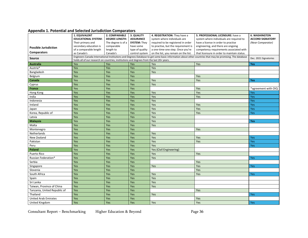#### **Appendix 1. Potential and Selected Jurisdiction Comparators**

<span id="page-40-0"></span>

|                              | 1. EQUIVALENT                                                                             | 2. COMPARABLE         | 3. QUALITY          | 4. REGISTRATION: They have a                                                                                                                                                                                                                    | 5. PROFESSIONAL LICENSURE: have a       | <b>6. WASHINGTON</b>    |
|------------------------------|-------------------------------------------------------------------------------------------|-----------------------|---------------------|-------------------------------------------------------------------------------------------------------------------------------------------------------------------------------------------------------------------------------------------------|-----------------------------------------|-------------------------|
|                              | <b>EDUCATIONAL SYSTEM:</b>                                                                | <b>DEGREE LENGTH:</b> | <b>ASSURANCE</b>    | system where individuals are<br>system where individuals are required to                                                                                                                                                                        |                                         | <b>ACCORD SIGNATORY</b> |
|                              | Their primary and                                                                         | The degree is of a    | <b>SYSTEM: They</b> | required to be registered in order                                                                                                                                                                                                              | have a license in order to practise     | (Near Comparator)       |
| <b>Possible Jurisdiction</b> | secondary education is                                                                    | comparable            | have some           | to practise, but the requirement is                                                                                                                                                                                                             | engineering, and there are ongoing      |                         |
|                              | of a comparable length                                                                    | length to             | type of quality     | a one-time-one step. Once you're                                                                                                                                                                                                                | competency requirements associated with |                         |
| <b>Comparators</b>           | as Canada's                                                                               | Canada's              | control system      | on the list, you remain on the list.<br>that licensure in order to maintain status.<br>Engineers Canada International Institutions and Degrees Database to get some basic information about other countries that may be promising. The database |                                         |                         |
| Source                       | holds all of our research on countries, institutions and degrees from the last 20+ years. |                       |                     |                                                                                                                                                                                                                                                 | Dec. 2021 Signatories                   |                         |
| <b>Australia</b>             | Yes                                                                                       | Yes                   | Yes                 | Yes                                                                                                                                                                                                                                             | Yes                                     | Yes                     |
| Austria*                     | Yes                                                                                       | Yes                   | Yes                 | Yes                                                                                                                                                                                                                                             |                                         |                         |
| Bangladesh                   | Yes                                                                                       | Yes                   | Yes                 | Yes                                                                                                                                                                                                                                             |                                         |                         |
| Belgium                      | Yes                                                                                       | Yes                   | Yes                 |                                                                                                                                                                                                                                                 | Yes                                     |                         |
| Canada                       | Yes                                                                                       | Yes                   | Yes                 | Yes                                                                                                                                                                                                                                             | Yes                                     | <b>Yes</b>              |
| Cyprus                       | Yes                                                                                       | Yes                   | Yes                 | Yes                                                                                                                                                                                                                                             |                                         |                         |
| France                       | Yes                                                                                       | Yes                   | Yes                 |                                                                                                                                                                                                                                                 | Yes                                     | *agreement with OIQ     |
| Hong Kong                    | Yes                                                                                       | Yes                   | Yes                 | Yes                                                                                                                                                                                                                                             | Yes                                     | Yes                     |
| India                        | Yes                                                                                       | Yes                   | Yes                 | Yes                                                                                                                                                                                                                                             | Yes                                     | Yes                     |
| Indonesia                    | Yes                                                                                       | Yes                   | Yes                 | Yes                                                                                                                                                                                                                                             |                                         | Yes                     |
| Ireland                      | Yes                                                                                       | Yes                   | Yes                 | Yes                                                                                                                                                                                                                                             | Yes                                     | Yes                     |
| Japan                        | Yes                                                                                       | Yes                   | Yes                 | Yes                                                                                                                                                                                                                                             | Yes                                     | Yes                     |
| Korea, Republic of           | Yes                                                                                       | Yes                   | Yes                 | Yes                                                                                                                                                                                                                                             | Yes                                     | Yes                     |
| Latvia                       | Yes                                                                                       | Yes                   | Yes                 | Yes                                                                                                                                                                                                                                             |                                         |                         |
| Malaysia                     | Yes                                                                                       | Yes                   | Yes                 | Yes                                                                                                                                                                                                                                             |                                         | <b>Yes</b>              |
| Malta                        | Yes                                                                                       | Yes                   | Yes                 | Yes                                                                                                                                                                                                                                             |                                         |                         |
| Montenegro                   | Yes                                                                                       | Yes                   | Yes                 |                                                                                                                                                                                                                                                 | Yes                                     |                         |
| Netherlands                  | Yes                                                                                       | Yes                   | Yes                 | Yes                                                                                                                                                                                                                                             |                                         |                         |
| New Zealand                  | Yes                                                                                       | Yes                   | Yes                 | Yes                                                                                                                                                                                                                                             | Yes                                     | Yes                     |
| Pakistan                     | Yes                                                                                       | Yes                   | Yes                 | Yes                                                                                                                                                                                                                                             | Yes                                     | Yes                     |
| Peru                         | Yes                                                                                       | Yes                   | Yes                 | Yes                                                                                                                                                                                                                                             |                                         | Yes                     |
| <b>Poland</b>                | Yes                                                                                       | Yes                   | Yes                 | Yes (Civil Engineering)                                                                                                                                                                                                                         |                                         |                         |
| Puerto Rico                  | Yes                                                                                       | Yes                   | Yes                 | Yes                                                                                                                                                                                                                                             | Yes                                     |                         |
| Russian Federation*          | Yes                                                                                       | Yes                   | Yes                 | Yes                                                                                                                                                                                                                                             |                                         | Yes                     |
| Serbia                       | Yes                                                                                       | Yes                   | Yes                 |                                                                                                                                                                                                                                                 | Yes                                     |                         |
| Singapore                    | Yes                                                                                       | Yes                   | Yes                 | Yes                                                                                                                                                                                                                                             | Yes                                     | Yes                     |
| Slovenia                     | Yes                                                                                       | Yes                   | Yes                 |                                                                                                                                                                                                                                                 | Yes                                     |                         |
| South Africa                 | Yes                                                                                       | Yes                   | Yes                 | Yes                                                                                                                                                                                                                                             | Yes                                     | Yes                     |
| Spain                        | Yes                                                                                       | Yes                   | Yes                 | Yes                                                                                                                                                                                                                                             |                                         |                         |
| Sri Lanka                    | Yes                                                                                       | Yes                   | Yes                 | Yes                                                                                                                                                                                                                                             |                                         |                         |
| Taiwan, Province of China    | Yes                                                                                       | Yes                   | Yes                 | Yes                                                                                                                                                                                                                                             |                                         |                         |
| Tanzania, United Republic of | Yes                                                                                       | Yes                   | Yes                 |                                                                                                                                                                                                                                                 | Yes                                     |                         |
| Thailand                     | Yes                                                                                       | Yes                   | Yes                 | Yes                                                                                                                                                                                                                                             |                                         | Yes                     |
| <b>United Arab Emirates</b>  | Yes                                                                                       | Yes                   | Yes                 |                                                                                                                                                                                                                                                 | Yes                                     |                         |
| United Kingdom               | Yes                                                                                       | Yes                   | Yes                 | Yes                                                                                                                                                                                                                                             | Yes                                     | Yes                     |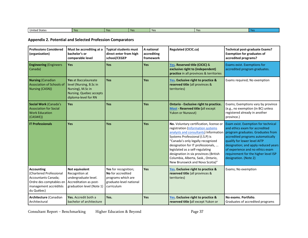| Un<br>. States<br>∵ited.<br>$\sim$ | Yes | $V \cap C$ | <b>Vou</b> |  |
|------------------------------------|-----|------------|------------|--|

#### **Appendix 2. Potential and Selected Profession Comparators**

<span id="page-41-0"></span>

| <b>Professions Considered</b><br>(organization)                                                                                              | Must be accrediting at a<br>bachelor's or<br>comparable level                                                           | <b>Typical students must</b><br>direct enter from high<br>school/CEGEP                                   | A national<br>accrediting<br>framework | <b>Regulated (CICIC.ca)</b>                                                                                                                                                                                                                                                                                                                                                                                               | <b>Technical post-graduate Exams?</b><br><b>Exemption for graduates of</b><br>accredited programs?                                                                                                                                                                                      |
|----------------------------------------------------------------------------------------------------------------------------------------------|-------------------------------------------------------------------------------------------------------------------------|----------------------------------------------------------------------------------------------------------|----------------------------------------|---------------------------------------------------------------------------------------------------------------------------------------------------------------------------------------------------------------------------------------------------------------------------------------------------------------------------------------------------------------------------------------------------------------------------|-----------------------------------------------------------------------------------------------------------------------------------------------------------------------------------------------------------------------------------------------------------------------------------------|
| <b>Engineering (Engineers</b><br>Canada)                                                                                                     | <b>Yes</b>                                                                                                              | Yes                                                                                                      | Yes                                    | Yes. Reserved title (CICIC) &<br>exclusive right to (independent)<br>practice in all provinces & territories                                                                                                                                                                                                                                                                                                              | Exams exist. Exemptions for<br>accredited program graduates.                                                                                                                                                                                                                            |
| <b>Nursing (Canadian</b><br><b>Association of Schools of</b><br>Nursing (CASN))                                                              | Yes at Baccalaureate<br>level (Nursing, B.Sc in<br>Nursing), M.Sc in<br>Nursing. Quebec accepts<br>diploma-level for RN | Yes                                                                                                      | Yes                                    | Yes. Exclusive right to practice &<br>reserved title (all provinces &<br>territories)                                                                                                                                                                                                                                                                                                                                     | Exams required; No exemption                                                                                                                                                                                                                                                            |
| Social Work (Canada's<br><b>Association for Social</b><br><b>Work Education</b><br>(CASWE))                                                  | <b>Yes</b>                                                                                                              | Yes                                                                                                      | <b>Yes</b>                             | Ontario - Exclusive right to practice.<br>Most - Reserved title (all except<br>Yukon or Nunavut)                                                                                                                                                                                                                                                                                                                          | Exams; Exemptions vary by province<br>(e.g., no exemption (in BC) unless<br>registered already in another<br>province.)                                                                                                                                                                 |
| <b>IT Professionals</b>                                                                                                                      | <b>Yes</b>                                                                                                              | Yes                                                                                                      | Yes                                    | No. Voluntary certification, license or<br>registration (Information systems<br>analysts and consultants) Information program graduates. Graduates from<br>Systems Professional (I.S.P) is<br>"Canada's only legally recognized<br>designation for IT professionals,<br>legislated as a self-regulating<br>designation in six provinces (British<br>Columbia, Alberta, Sask., Ontario,<br>New Brunswick and Nova Scotia)" | Exam exist. Exemption for technical<br>and ethics exam for accredited<br>accredited programs automatically<br>qualify for lower level AITP<br>designation; and apply reduced years<br>of experience and no ethics exam<br>requirement for the higher level ISP<br>designation. (Note 2) |
| <b>Accounting</b><br>(Chartered Professional<br><b>Accountants Canada;</b><br>Ordre des comptables en<br>management accrédités<br>du Québec) | Not equivalent<br>Recognition at<br>undergraduate level.<br>Accreditation as post-<br>graduation level (Note 1)         | Yes for recognition;<br>No for accredited<br>programs which are<br>graduate-level national<br>curriculum | <b>Yes</b>                             | Yes. Exclusive right to practice &<br>reserved title (all provinces &<br>territories)                                                                                                                                                                                                                                                                                                                                     | Exams; No exemption                                                                                                                                                                                                                                                                     |
| Architecture (Canadian<br>Architectural                                                                                                      | Yes. Accredit both a<br>bachelor of architecture                                                                        | Yes.                                                                                                     | Yes                                    | Yes. Exclusive right to practice &<br>reserved title (all except Yukon or                                                                                                                                                                                                                                                                                                                                                 | No exams. Portfolio.<br>Graduates of accredited programs                                                                                                                                                                                                                                |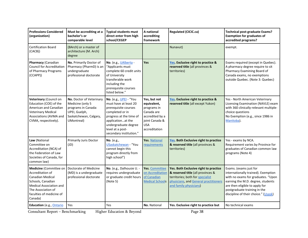| <b>Professions Considered</b><br>(organization)                                                                                                                                           | Must be accrediting at a<br>bachelor's or<br>comparable level                                                                | <b>Typical students must</b><br>direct enter from high<br>school/CEGEP                                                                                                                                            | A national<br>accrediting<br>framework                                                                                       | <b>Regulated (CICIC.ca)</b>                                                                                                                                                       | <b>Technical post-graduate Exams?</b><br><b>Exemption for graduates of</b><br>accredited programs?                                                                                                                                                 |
|-------------------------------------------------------------------------------------------------------------------------------------------------------------------------------------------|------------------------------------------------------------------------------------------------------------------------------|-------------------------------------------------------------------------------------------------------------------------------------------------------------------------------------------------------------------|------------------------------------------------------------------------------------------------------------------------------|-----------------------------------------------------------------------------------------------------------------------------------------------------------------------------------|----------------------------------------------------------------------------------------------------------------------------------------------------------------------------------------------------------------------------------------------------|
| <b>Certification Board</b><br>(CACB))                                                                                                                                                     | (BArch) or a master of<br>architecture (M. Arch)<br>degree                                                                   |                                                                                                                                                                                                                   |                                                                                                                              | Nunavut)                                                                                                                                                                          | exempt.                                                                                                                                                                                                                                            |
| Pharmacy (Canadian<br><b>Council for Accreditation</b><br>of Pharmacy Programs<br>(CCAPP))                                                                                                | No. Primarily Doctor of<br>Pharmacy (PharmD) is an<br>undergraduate<br>professional doctorate                                | No. (e.g., UAlberta -<br>"Applicants must<br>complete 60 credit units<br>of University<br>transferable work<br>including the<br>prerequisite courses<br>listed below."                                            | <b>Yes</b>                                                                                                                   | Yes. Exclusive right to practice &<br>reserved title (all provinces &<br>territories)                                                                                             | Exams required (except in Quebec).<br>A pharmacy degree require to sit<br>Pharmacy Examining Board of<br>Canada exams, no exemptions<br>outside Quebec. (Note 3: Quebec)                                                                           |
| Veterinary (Council on<br>Education (COE) of the<br>American and Canadian<br><b>Veterinary Medical</b><br>Associations (AVMA and<br>CVMA, respectively).                                  | No. Doctor of Veterinary<br>Medicine (only 5<br>programs in Canada:<br>UPEI, Guelph,<br>Saskatchewan, Calgary,<br>UMontreal) | No. (e.g., UPEI - "You<br>must have at least 20<br>prerequisite courses<br>completed or in<br>progress at the time of<br>applicationat the<br>undergraduate degree<br>level at a post-<br>secondary institution." | Yes, but not<br>equivalent,<br>programs in<br>Canada are<br>accredited by a<br>ioint Canada &<br><b>USA</b><br>accreditation | Yes. Exclusive right to practice &<br>reserved title (all except Yukon)                                                                                                           | Yes - North American Veterinary<br>Licensing Examination (NAVLE) exam<br>with 360 clinically-relevant multiple-<br>choice questions<br>No Exemption (e.g., since 1986 in<br>Manitoba).                                                             |
| Law (National<br>Committee on<br>Accreditation (NCA) of<br>the Federation of Law<br>Societies of Canada, for<br>common law)                                                               | <b>Primarily Juris Doctor</b><br>(JD)                                                                                        | No. (e.g.,)<br>USaskatchewan - "You<br>cannot begin this<br>program directly from<br>high school")                                                                                                                | Yes. National<br>requirements                                                                                                | Yes. Both Exclusive right to practice<br>& reserved title (all provinces &<br>territories)                                                                                        | Yes - exams by NCA.<br>Requirement varies by Province for<br>graduates of Canadian common law<br>programs (Note 4)                                                                                                                                 |
| Medicine (Committee on<br>Accreditation of<br><b>Canadian Medical</b><br>Schools, Canadian<br><b>Medical Association and</b><br>The Association of<br>faculties of medicine of<br>Canada) | Doctorate of Medicine<br>(MD) is a undergraduate<br>professional doctorate                                                   | No. (e.g., Dalhousie U. -<br>requires undergraduate<br>or graduate credit hours<br>(Note 5)                                                                                                                       | Yes. Committee<br>on Accreditation<br>of Canadian<br><b>Medical Schools</b>                                                  | Yes. Both Exclusive right to practice<br>& reserved title (all provinces &<br>territories; both for specialist<br>physicians, and General practitioners<br>and family physicians) | Exams. (exams just for<br>internationally trained). Exemption<br>with no exams for graduates. "Upon<br>earning the M.D. degree, students<br>are then eligible to apply for<br>postgraduate training in the<br>discipline of their choice." (Usask) |
| Education (e.g., Ontario                                                                                                                                                                  | Yes                                                                                                                          | Yes                                                                                                                                                                                                               | No. National                                                                                                                 | Yes. Exclusive right to practice but                                                                                                                                              | No technical exams                                                                                                                                                                                                                                 |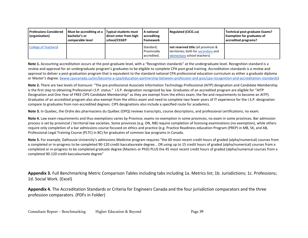| <b>Professions Considered</b><br>(organization) | Must be accrediting at a<br>bachelor's or<br>comparable level | <b>Typical students must</b><br>direct enter from high<br>school/CEGEP | A national<br>accrediting<br><b>framework</b> | <b>Regulated (CICIC.ca)</b>                                                                               | Technical post-graduate Exams?<br><b>Exemption for graduates of</b><br>accredited programs? |
|-------------------------------------------------|---------------------------------------------------------------|------------------------------------------------------------------------|-----------------------------------------------|-----------------------------------------------------------------------------------------------------------|---------------------------------------------------------------------------------------------|
| <b>College of Teachers</b>                      |                                                               |                                                                        | Standard;<br>Provincially<br>accredited.      | not reserved title (all provinces &<br>territories; both for secondary and<br>elementary school teachers) |                                                                                             |

**Note 1.** Accounting accreditation occurs at the post-graduate level, with a "Recognition standards" at the undergraduate level. Recognition standard is a review and approval for an undergraduate program's graduates to be eligible to complete CPA post-grad training. Accreditation standards is a review and approval to deliver a post-graduation program that is equivalent to the standard national CPA professional education curriculum as either a graduate diploma or Master's degree. [\(www.cpacanada.ca/en/become-a-cpa/education-partnership-between-profession-and-psis/cpa-recognition-and-accreditation-standards\)](https://www.cpacanada.ca/en/become-a-cpa/education-partnership-between-profession-and-psis/cpa-recognition-and-accreditation-standards)

**Note 2.** There are two levels of licensure: "The pre-professional Associate Information Technology Professional (AITP) designation and Candidate Membership is the first step to obtaining Professional I.S.P. status." I.S.P. designation recognized by law. Graduates of an accredited program are eligible for "AITP Designation and One Year of FREE CIPS Candidate Membership" as they are exempt from the ethics exam, the fee and requirements to become an AITP). Graduates of an accredited program also also exempt from the ethics exam and need to complete two fewer years of IT experience for the I.S.P. designation compare to graduates from non-accredited degrees. CIPS designations also include a specified route for academics.

**Note 3.** In Quebec, the Ordre des pharmaciens du Québec (OPQ) reviews transcripts, course descriptions, and professional certifications; no exam.

**Note 4.** Law exam requirements and thus exemptions varies by Province; exams no exemption in some provinces, no exam in some provinces. Bar admission process is set by provincial / territorial law societies. Some provinces (e.g. ON, NB) require completion of licensing examinations (no exemption), while others require only completion of a bar admissions course focused on ethics and practice (e.g. Practice Readiness education Program (PREP) in MB, SK, and AB, Professional Legal Training Course (PLTC) in BC) for graduates of common law programs in Canada.

**Note 5.** For example, Dalhousie University's admissions Medicine program requires "the 60 most recent credit hours of graded (alpha/numerical) courses from a completed or in-progress to be completed 90-120 credit baccalaureate degree… OR using up to 15 credit hours of graded (alpha/numerical) courses from a completed or in-progress to be completed graduate degree (Masters or PhD) PLUS the 45 most recent credit hours of graded (alpha/numerical courses from a completed 90-120 credit baccalaureate degree"

**Appendix 3.** Full Benchmarking Metric Comparison Tables including tabs including 1a. Metrics list; 1b. Jurisdictions; 1c. Professions; 1d. Social Work. (Excel)

<span id="page-43-1"></span><span id="page-43-0"></span>**Appendix 4.** The Accreditation Standards or Criteria for Engineers Canada and the four jurisdiction comparators and the three profession comparators. (PDFs in Folder)